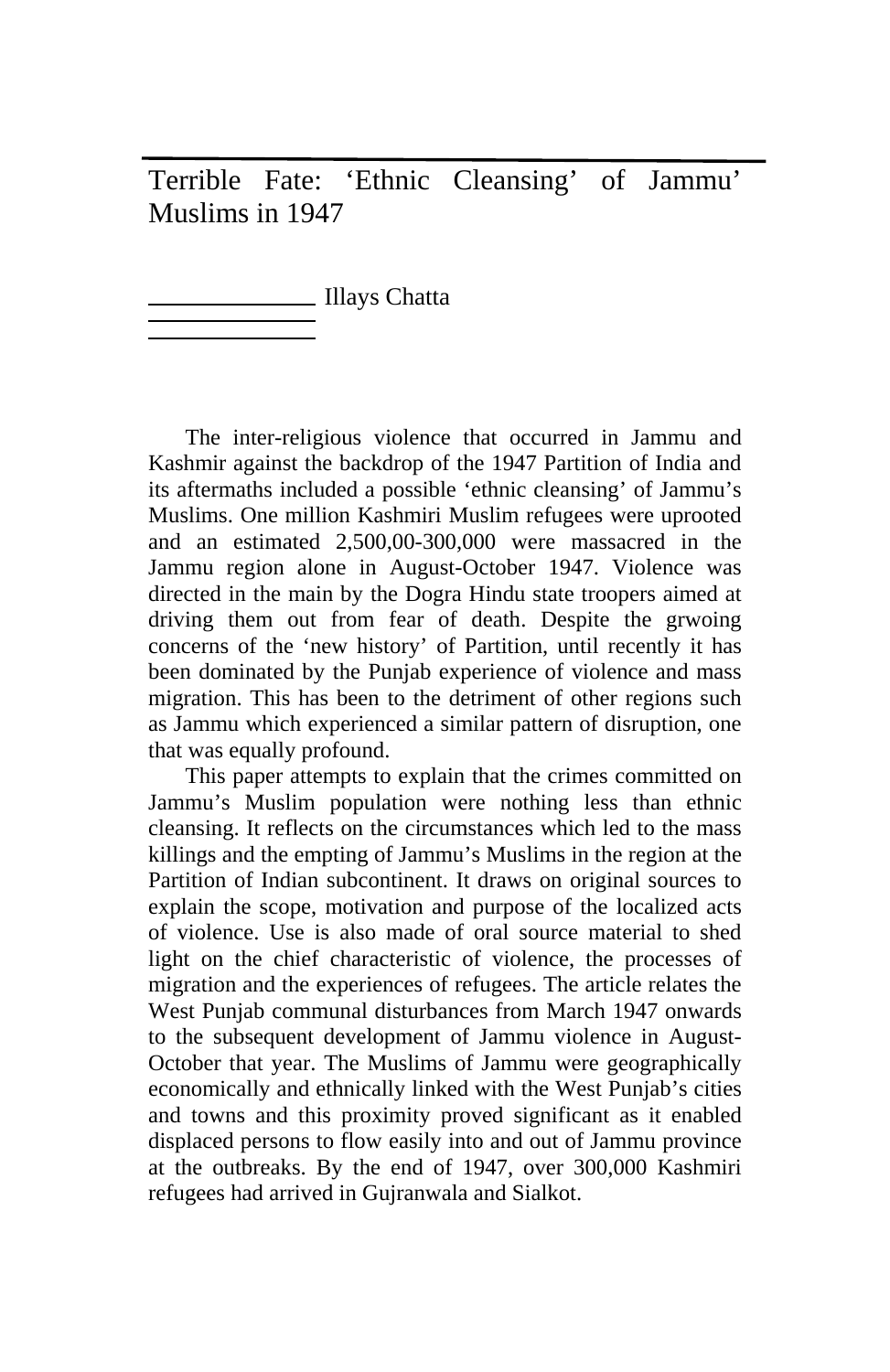Terrible Fate: 'Ethnic Cleansing' of Jammu' Muslims in 1947

Illays Chatta

The inter-religious violence that occurred in Jammu and Kashmir against the backdrop of the 1947 Partition of India and its aftermaths included a possible 'ethnic cleansing' of Jammu's Muslims. One million Kashmiri Muslim refugees were uprooted and an estimated 2,500,00-300,000 were massacred in the Jammu region alone in August-October 1947. Violence was directed in the main by the Dogra Hindu state troopers aimed at driving them out from fear of death. Despite the grwoing concerns of the 'new history' of Partition, until recently it has been dominated by the Punjab experience of violence and mass migration. This has been to the detriment of other regions such as Jammu which experienced a similar pattern of disruption, one that was equally profound.

This paper attempts to explain that the crimes committed on Jammu's Muslim population were nothing less than ethnic cleansing. It reflects on the circumstances which led to the mass killings and the empting of Jammu's Muslims in the region at the Partition of Indian subcontinent. It draws on original sources to explain the scope, motivation and purpose of the localized acts of violence. Use is also made of oral source material to shed light on the chief characteristic of violence, the processes of migration and the experiences of refugees. The article relates the West Punjab communal disturbances from March 1947 onwards to the subsequent development of Jammu violence in August-October that year. The Muslims of Jammu were geographically economically and ethnically linked with the West Punjab's cities and towns and this proximity proved significant as it enabled displaced persons to flow easily into and out of Jammu province at the outbreaks. By the end of 1947, over 300,000 Kashmiri refugees had arrived in Gujranwala and Sialkot.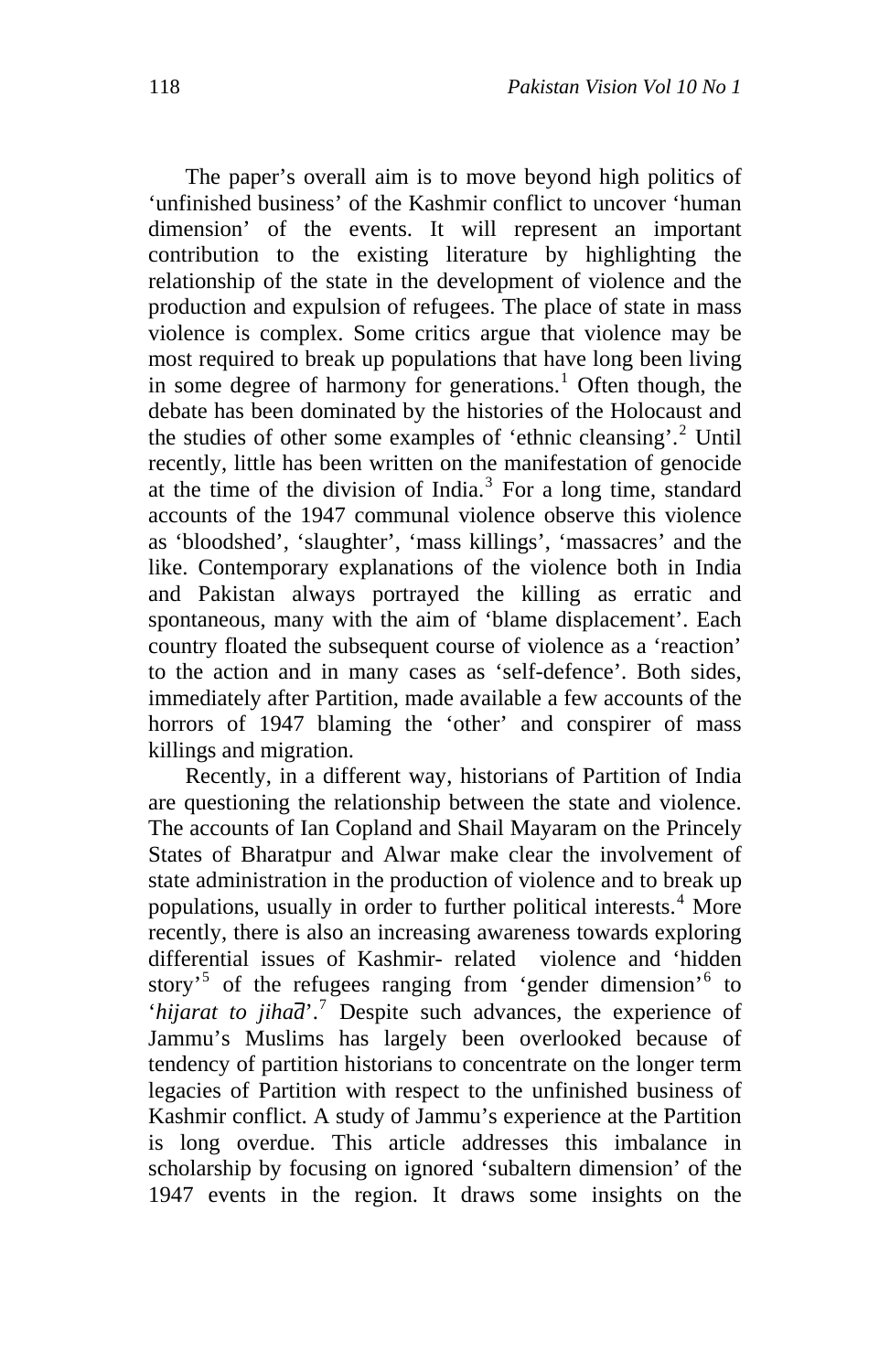The paper's overall aim is to move beyond high politics of 'unfinished business' of the Kashmir conflict to uncover 'human dimension' of the events. It will represent an important contribution to the existing literature by highlighting the relationship of the state in the development of violence and the production and expulsion of refugees. The place of state in mass violence is complex. Some critics argue that violence may be most required to break up populations that have long been living in some degree of harmony for generations.<sup>[1](#page-23-0)</sup> Often though, the debate has been dominated by the histories of the Holocaust and the studies of other some examples of 'ethnic cleansing'.<sup>[2](#page-23-1)</sup> Until recently, little has been written on the manifestation of genocide at the time of the division of India.<sup>[3](#page-23-1)</sup> For a long time, standard accounts of the 1947 communal violence observe this violence as 'bloodshed', 'slaughter', 'mass killings', 'massacres' and the like. Contemporary explanations of the violence both in India and Pakistan always portrayed the killing as erratic and spontaneous, many with the aim of 'blame displacement'. Each country floated the subsequent course of violence as a 'reaction' to the action and in many cases as 'self-defence'. Both sides, immediately after Partition, made available a few accounts of the horrors of 1947 blaming the 'other' and conspirer of mass killings and migration.

Recently, in a different way, historians of Partition of India are questioning the relationship between the state and violence. The accounts of Ian Copland and Shail Mayaram on the Princely States of Bharatpur and Alwar make clear the involvement of state administration in the production of violence and to break up populations, usually in order to further political interests.<sup>[4](#page-23-1)</sup> More recently, there is also an increasing awareness towards exploring differential issues of Kashmir- related violence and 'hidden story<sup>[5](#page-23-1)</sup> of the refugees ranging from 'gender dimension'<sup>[6](#page-23-1)</sup> to '*hijarat to jihad*'.<sup>[7](#page-23-1)</sup> Despite such advances, the experience of Jammu's Muslims has largely been overlooked because of tendency of partition historians to concentrate on the longer term legacies of Partition with respect to the unfinished business of Kashmir conflict. A study of Jammu's experience at the Partition is long overdue. This article addresses this imbalance in scholarship by focusing on ignored 'subaltern dimension' of the 1947 events in the region. It draws some insights on the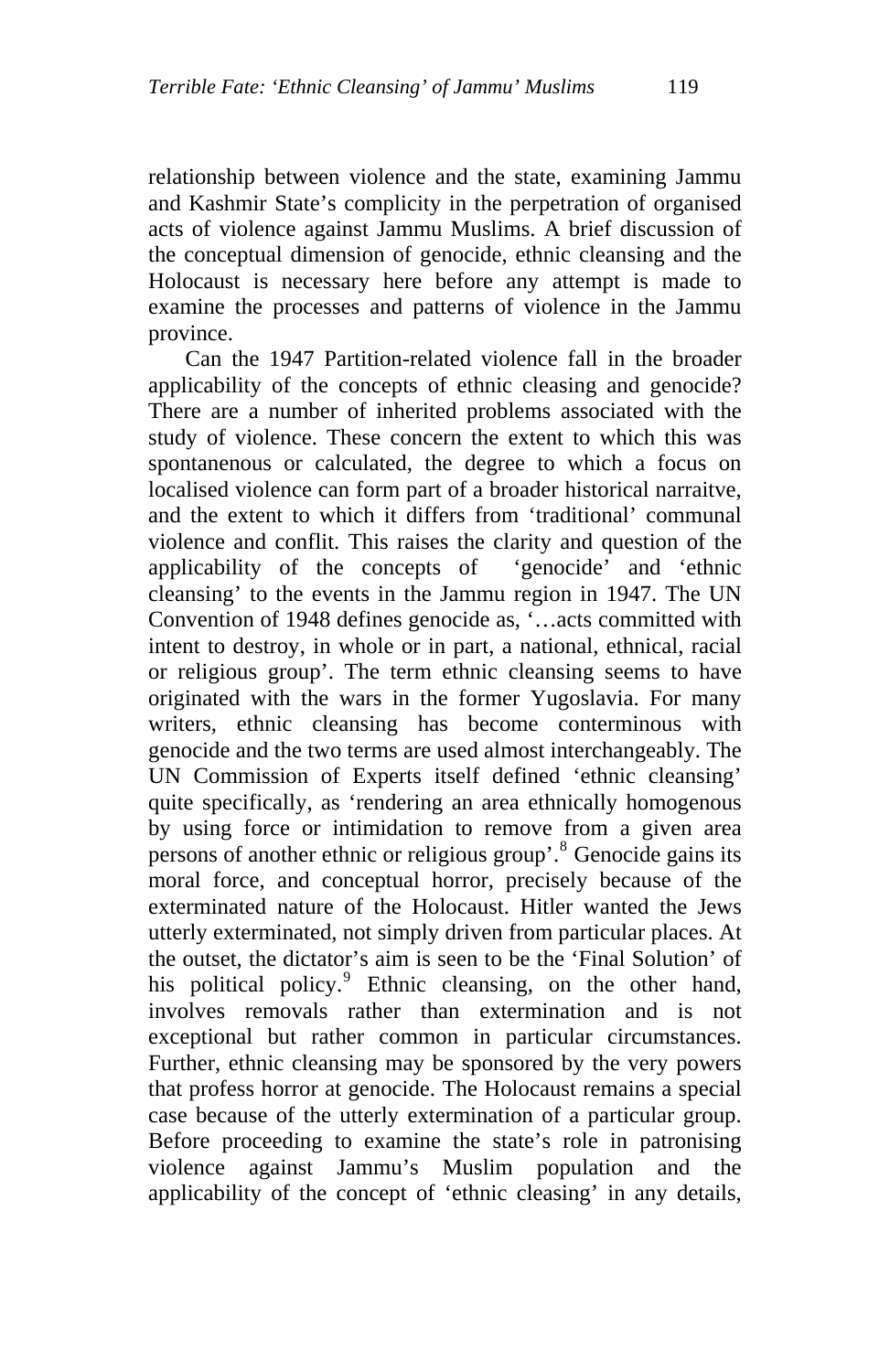relationship between violence and the state, examining Jammu and Kashmir State's complicity in the perpetration of organised acts of violence against Jammu Muslims. A brief discussion of the conceptual dimension of genocide, ethnic cleansing and the Holocaust is necessary here before any attempt is made to examine the processes and patterns of violence in the Jammu province.

Can the 1947 Partition-related violence fall in the broader applicability of the concepts of ethnic cleasing and genocide? There are a number of inherited problems associated with the study of violence. These concern the extent to which this was spontanenous or calculated, the degree to which a focus on localised violence can form part of a broader historical narraitve, and the extent to which it differs from 'traditional' communal violence and conflit. This raises the clarity and question of the applicability of the concepts of 'genocide' and 'ethnic cleansing' to the events in the Jammu region in 1947. The UN Convention of 1948 defines genocide as, '…acts committed with intent to destroy, in whole or in part, a national, ethnical, racial or religious group'. The term ethnic cleansing seems to have originated with the wars in the former Yugoslavia. For many writers, ethnic cleansing has become conterminous with genocide and the two terms are used almost interchangeably. The UN Commission of Experts itself defined 'ethnic cleansing' quite specifically, as 'rendering an area ethnically homogenous by using force or intimidation to remove from a given area persons of another ethnic or religious group'.<sup>[8](#page-23-1)</sup> Genocide gains its moral force, and conceptual horror, precisely because of the exterminated nature of the Holocaust. Hitler wanted the Jews utterly exterminated, not simply driven from particular places. At the outset, the dictator's aim is seen to be the 'Final Solution' of his political policy.<sup>[9](#page-23-1)</sup> Ethnic cleansing, on the other hand, involves removals rather than extermination and is not exceptional but rather common in particular circumstances. Further, ethnic cleansing may be sponsored by the very powers that profess horror at genocide. The Holocaust remains a special case because of the utterly extermination of a particular group. Before proceeding to examine the state's role in patronising violence against Jammu's Muslim population and the applicability of the concept of 'ethnic cleasing' in any details,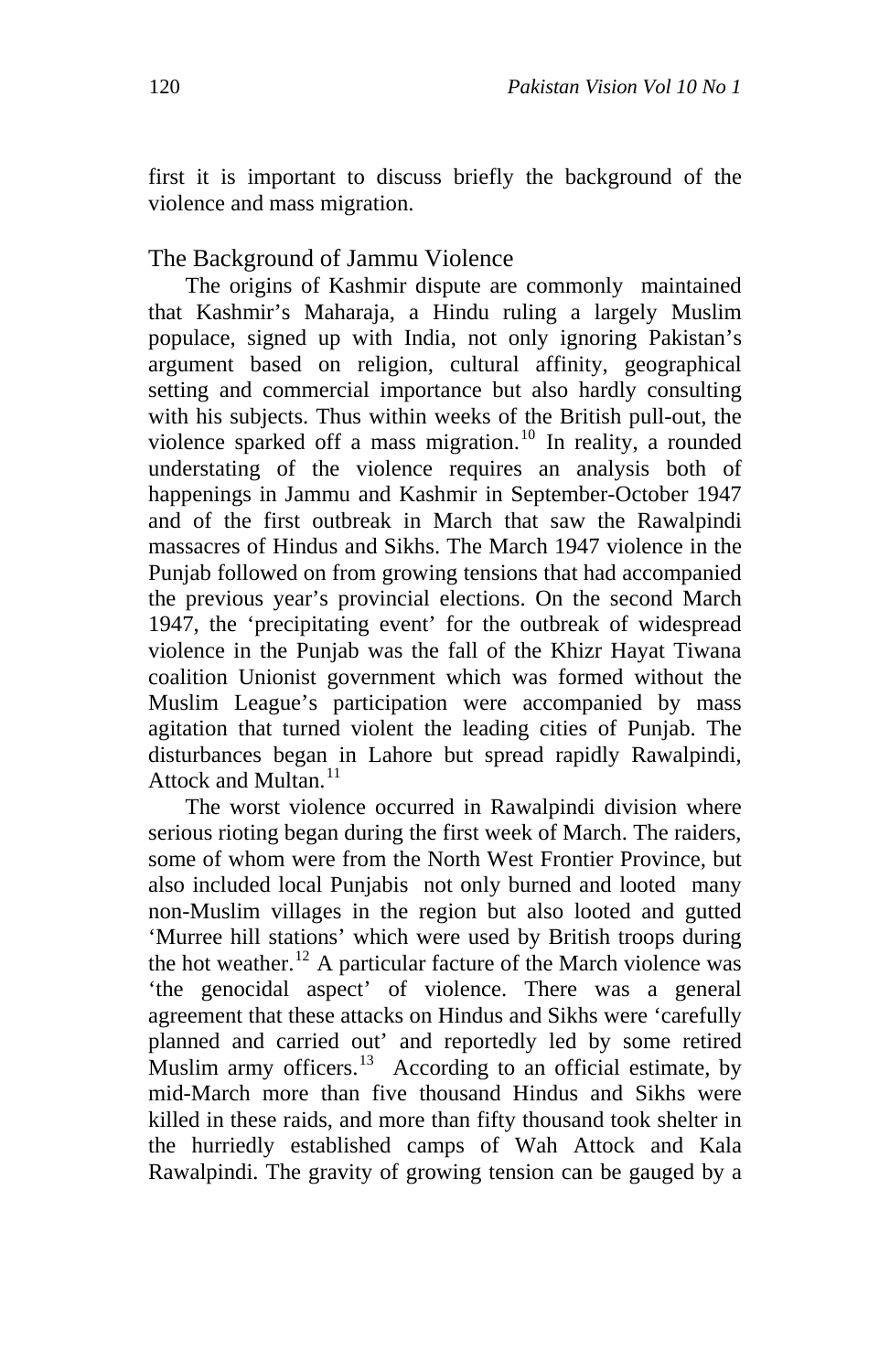first it is important to discuss briefly the background of the violence and mass migration.

## The Background of Jammu Violence

The origins of Kashmir dispute are commonly maintained that Kashmir's Maharaja, a Hindu ruling a largely Muslim populace, signed up with India, not only ignoring Pakistan's argument based on religion, cultural affinity, geographical setting and commercial importance but also hardly consulting with his subjects. Thus within weeks of the British pull-out, the violence sparked off a mass migration.<sup>[10](#page-23-1)</sup> In reality, a rounded understating of the violence requires an analysis both of happenings in Jammu and Kashmir in September-October 1947 and of the first outbreak in March that saw the Rawalpindi massacres of Hindus and Sikhs. The March 1947 violence in the Punjab followed on from growing tensions that had accompanied the previous year's provincial elections. On the second March 1947, the 'precipitating event' for the outbreak of widespread violence in the Punjab was the fall of the Khizr Hayat Tiwana coalition Unionist government which was formed without the Muslim League's participation were accompanied by mass agitation that turned violent the leading cities of Punjab. The disturbances began in Lahore but spread rapidly Rawalpindi, Attock and Multan.<sup>[11](#page-23-1)</sup>

The worst violence occurred in Rawalpindi division where serious rioting began during the first week of March. The raiders, some of whom were from the North West Frontier Province, but also included local Punjabis not only burned and looted many non-Muslim villages in the region but also looted and gutted 'Murree hill stations' which were used by British troops during the hot weather.<sup>[12](#page-23-1)</sup> A particular facture of the March violence was 'the genocidal aspect' of violence. There was a general agreement that these attacks on Hindus and Sikhs were 'carefully planned and carried out' and reportedly led by some retired Muslim army officers.<sup>[13](#page-23-1)</sup> According to an official estimate, by mid-March more than five thousand Hindus and Sikhs were killed in these raids, and more than fifty thousand took shelter in the hurriedly established camps of Wah Attock and Kala Rawalpindi. The gravity of growing tension can be gauged by a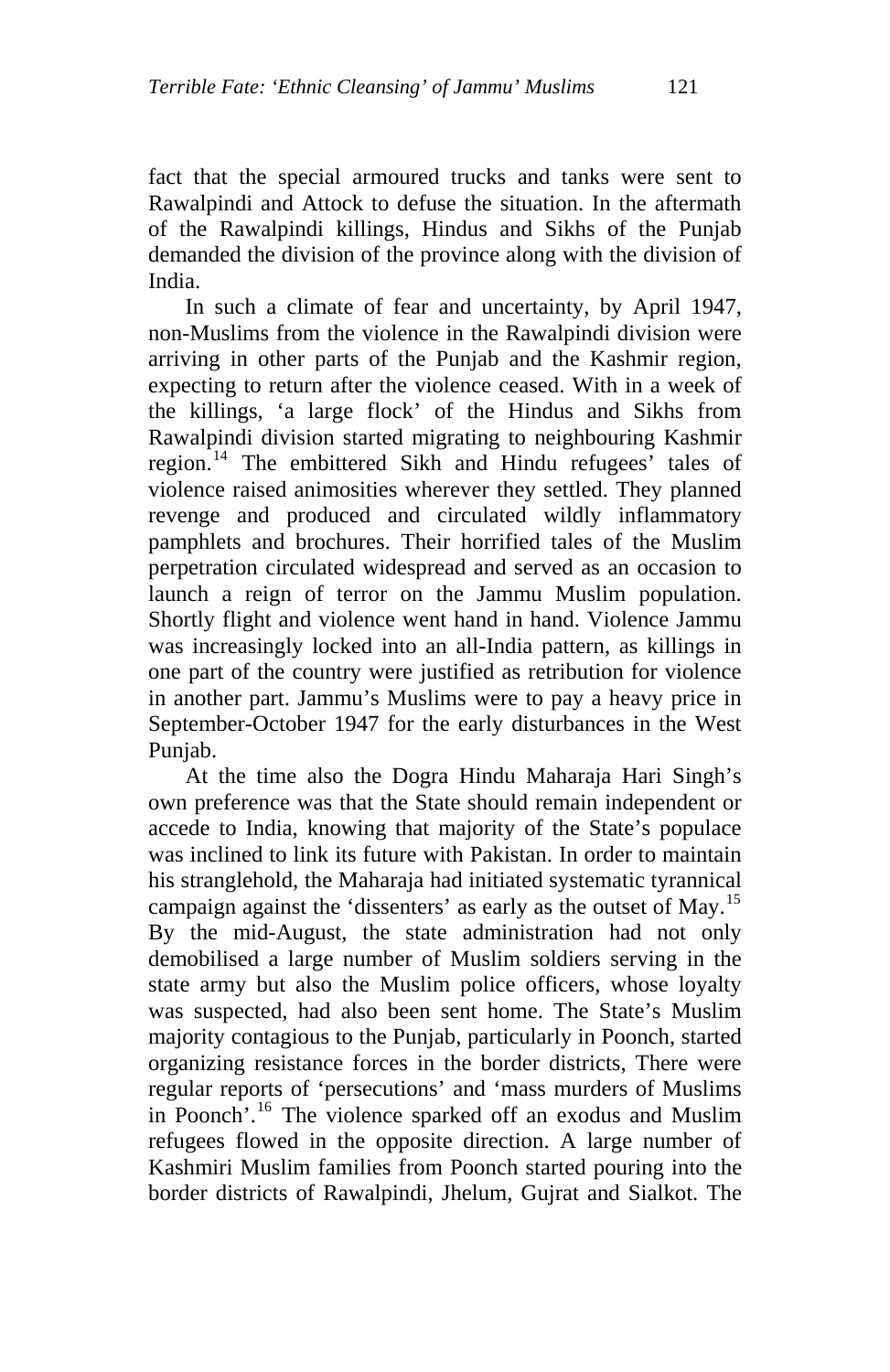fact that the special armoured trucks and tanks were sent to Rawalpindi and Attock to defuse the situation. In the aftermath of the Rawalpindi killings, Hindus and Sikhs of the Punjab demanded the division of the province along with the division of India.

In such a climate of fear and uncertainty, by April 1947, non-Muslims from the violence in the Rawalpindi division were arriving in other parts of the Punjab and the Kashmir region, expecting to return after the violence ceased. With in a week of the killings, 'a large flock' of the Hindus and Sikhs from Rawalpindi division started migrating to neighbouring Kashmir region.[14](#page-23-1) The embittered Sikh and Hindu refugees' tales of violence raised animosities wherever they settled. They planned revenge and produced and circulated wildly inflammatory pamphlets and brochures. Their horrified tales of the Muslim perpetration circulated widespread and served as an occasion to launch a reign of terror on the Jammu Muslim population. Shortly flight and violence went hand in hand. Violence Jammu was increasingly locked into an all-India pattern, as killings in one part of the country were justified as retribution for violence in another part. Jammu's Muslims were to pay a heavy price in September-October 1947 for the early disturbances in the West Punjab.

At the time also the Dogra Hindu Maharaja Hari Singh's own preference was that the State should remain independent or accede to India, knowing that majority of the State's populace was inclined to link its future with Pakistan. In order to maintain his stranglehold, the Maharaja had initiated systematic tyrannical campaign against the 'dissenters' as early as the outset of May.<sup>[15](#page-23-1)</sup> By the mid-August, the state administration had not only demobilised a large number of Muslim soldiers serving in the state army but also the Muslim police officers, whose loyalty was suspected, had also been sent home. The State's Muslim majority contagious to the Punjab, particularly in Poonch, started organizing resistance forces in the border districts, There were regular reports of 'persecutions' and 'mass murders of Muslims in Poonch<sup>7</sup>.<sup>[16](#page-23-1)</sup> The violence sparked off an exodus and Muslim refugees flowed in the opposite direction. A large number of Kashmiri Muslim families from Poonch started pouring into the border districts of Rawalpindi, Jhelum, Gujrat and Sialkot. The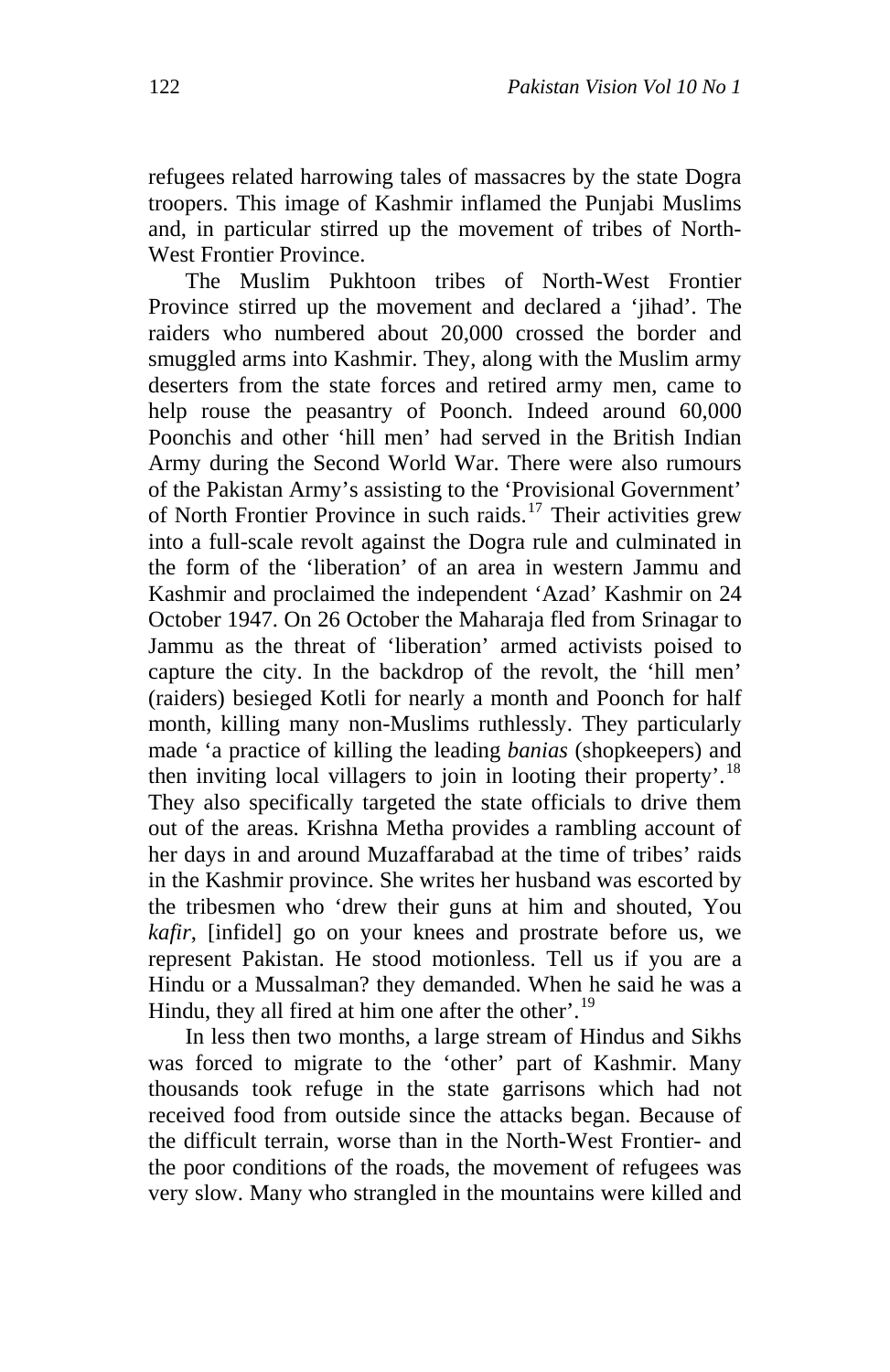refugees related harrowing tales of massacres by the state Dogra troopers. This image of Kashmir inflamed the Punjabi Muslims and, in particular stirred up the movement of tribes of North-West Frontier Province.

The Muslim Pukhtoon tribes of North-West Frontier Province stirred up the movement and declared a 'jihad'. The raiders who numbered about 20,000 crossed the border and smuggled arms into Kashmir. They, along with the Muslim army deserters from the state forces and retired army men, came to help rouse the peasantry of Poonch. Indeed around 60,000 Poonchis and other 'hill men' had served in the British Indian Army during the Second World War. There were also rumours of the Pakistan Army's assisting to the 'Provisional Government' of North Frontier Province in such raids.<sup>[17](#page-23-1)</sup> Their activities grew into a full-scale revolt against the Dogra rule and culminated in the form of the 'liberation' of an area in western Jammu and Kashmir and proclaimed the independent 'Azad' Kashmir on 24 October 1947. On 26 October the Maharaja fled from Srinagar to Jammu as the threat of 'liberation' armed activists poised to capture the city. In the backdrop of the revolt, the 'hill men' (raiders) besieged Kotli for nearly a month and Poonch for half month, killing many non-Muslims ruthlessly. They particularly made 'a practice of killing the leading *banias* (shopkeepers) and then inviting local villagers to join in looting their property'.<sup>[18](#page-23-1)</sup> They also specifically targeted the state officials to drive them out of the areas. Krishna Metha provides a rambling account of her days in and around Muzaffarabad at the time of tribes' raids in the Kashmir province. She writes her husband was escorted by the tribesmen who 'drew their guns at him and shouted, You *kafir*, [infidel] go on your knees and prostrate before us, we represent Pakistan. He stood motionless. Tell us if you are a Hindu or a Mussalman? they demanded. When he said he was a Hindu, they all fired at him one after the other'.<sup>[19](#page-23-1)</sup>

In less then two months, a large stream of Hindus and Sikhs was forced to migrate to the 'other' part of Kashmir. Many thousands took refuge in the state garrisons which had not received food from outside since the attacks began. Because of the difficult terrain, worse than in the North-West Frontier- and the poor conditions of the roads, the movement of refugees was very slow. Many who strangled in the mountains were killed and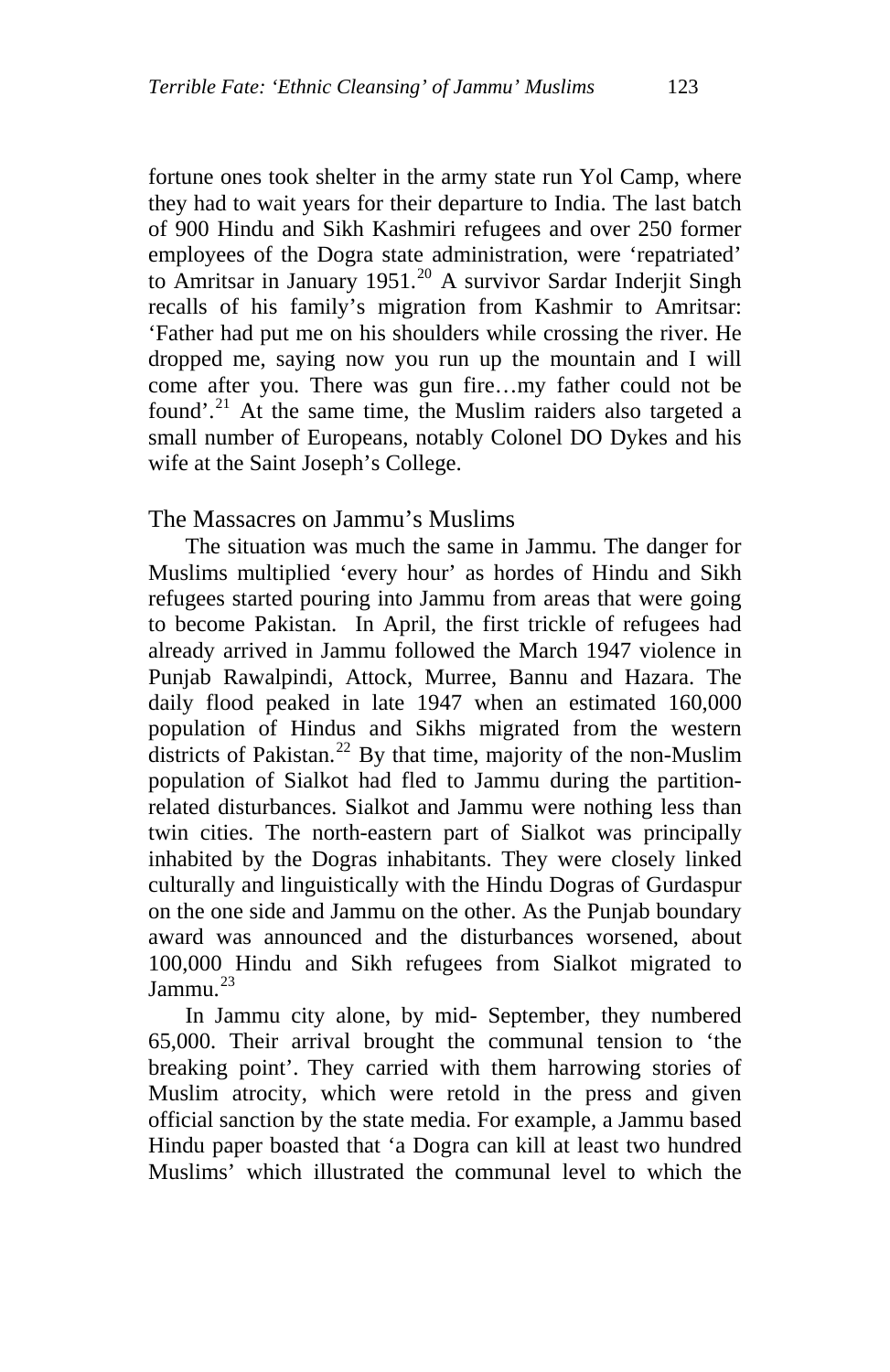fortune ones took shelter in the army state run Yol Camp, where they had to wait years for their departure to India. The last batch of 900 Hindu and Sikh Kashmiri refugees and over 250 former employees of the Dogra state administration, were 'repatriated' to Amritsar in January 1951.<sup>[20](#page-23-1)</sup> A survivor Sardar Inderjit Singh recalls of his family's migration from Kashmir to Amritsar: 'Father had put me on his shoulders while crossing the river. He dropped me, saying now you run up the mountain and I will come after you. There was gun fire…my father could not be found'.<sup>[21](#page-23-1)</sup> At the same time, the Muslim raiders also targeted a small number of Europeans, notably Colonel DO Dykes and his wife at the Saint Joseph's College.

## The Massacres on Jammu's Muslims

The situation was much the same in Jammu. The danger for Muslims multiplied 'every hour' as hordes of Hindu and Sikh refugees started pouring into Jammu from areas that were going to become Pakistan. In April, the first trickle of refugees had already arrived in Jammu followed the March 1947 violence in Punjab Rawalpindi, Attock, Murree, Bannu and Hazara. The daily flood peaked in late 1947 when an estimated 160,000 population of Hindus and Sikhs migrated from the western districts of Pakistan.<sup>[22](#page-23-1)</sup> By that time, majority of the non-Muslim population of Sialkot had fled to Jammu during the partitionrelated disturbances. Sialkot and Jammu were nothing less than twin cities. The north-eastern part of Sialkot was principally inhabited by the Dogras inhabitants. They were closely linked culturally and linguistically with the Hindu Dogras of Gurdaspur on the one side and Jammu on the other. As the Punjab boundary award was announced and the disturbances worsened, about 100,000 Hindu and Sikh refugees from Sialkot migrated to  $I$ ammu.<sup>[23](#page-23-1)</sup>

In Jammu city alone, by mid- September, they numbered 65,000. Their arrival brought the communal tension to 'the breaking point'. They carried with them harrowing stories of Muslim atrocity, which were retold in the press and given official sanction by the state media. For example, a Jammu based Hindu paper boasted that 'a Dogra can kill at least two hundred Muslims' which illustrated the communal level to which the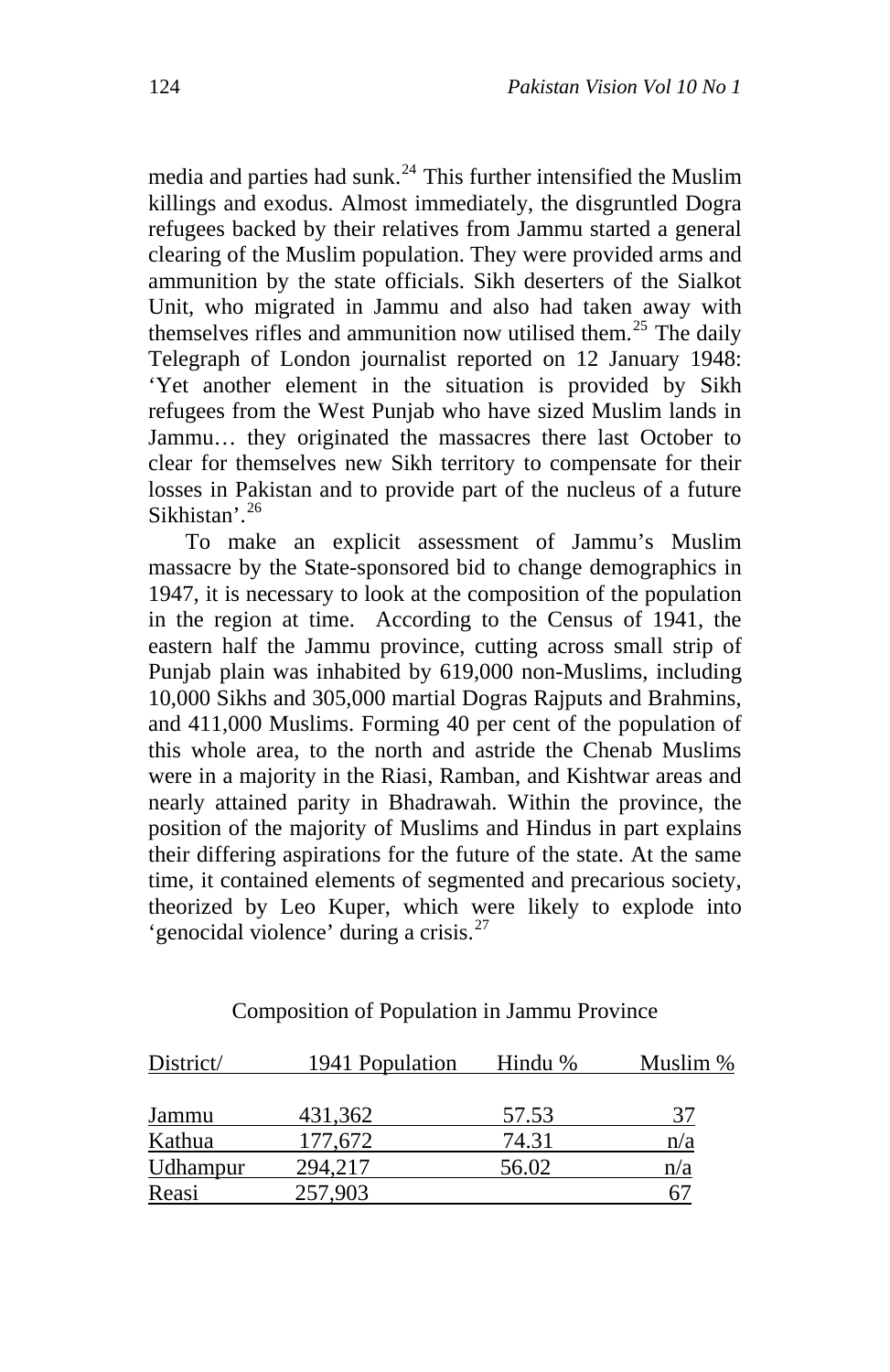media and parties had sunk. $^{24}$  $^{24}$  $^{24}$  This further intensified the Muslim killings and exodus. Almost immediately, the disgruntled Dogra refugees backed by their relatives from Jammu started a general clearing of the Muslim population. They were provided arms and ammunition by the state officials. Sikh deserters of the Sialkot Unit, who migrated in Jammu and also had taken away with themselves rifles and ammunition now utilised them.<sup>[25](#page-23-1)</sup> The daily Telegraph of London journalist reported on 12 January 1948: 'Yet another element in the situation is provided by Sikh refugees from the West Punjab who have sized Muslim lands in Jammu… they originated the massacres there last October to clear for themselves new Sikh territory to compensate for their losses in Pakistan and to provide part of the nucleus of a future Sikhistan'.<sup>[26](#page-23-1)</sup>

To make an explicit assessment of Jammu's Muslim massacre by the State-sponsored bid to change demographics in 1947, it is necessary to look at the composition of the population in the region at time. According to the Census of 1941, the eastern half the Jammu province, cutting across small strip of Punjab plain was inhabited by 619,000 non-Muslims, including 10,000 Sikhs and 305,000 martial Dogras Rajputs and Brahmins, and 411,000 Muslims. Forming 40 per cent of the population of this whole area, to the north and astride the Chenab Muslims were in a majority in the Riasi, Ramban, and Kishtwar areas and nearly attained parity in Bhadrawah. Within the province, the position of the majority of Muslims and Hindus in part explains their differing aspirations for the future of the state. At the same time, it contained elements of segmented and precarious society, theorized by Leo Kuper, which were likely to explode into 'genocidal violence' during a crisis.<sup>[27](#page-23-1)</sup>

| District/ | 1941 Population | Hindu % | Muslim % |
|-----------|-----------------|---------|----------|
|           |                 |         |          |
| Jammu     | 431.362         | 57.53   | 37       |
| Kathua    | 177.672         | 74.31   | n/a      |
| Udhampur  | 294.217         | 56.02   | n/a      |
| Reasi     | 257,903         |         |          |

## Composition of Population in Jammu Province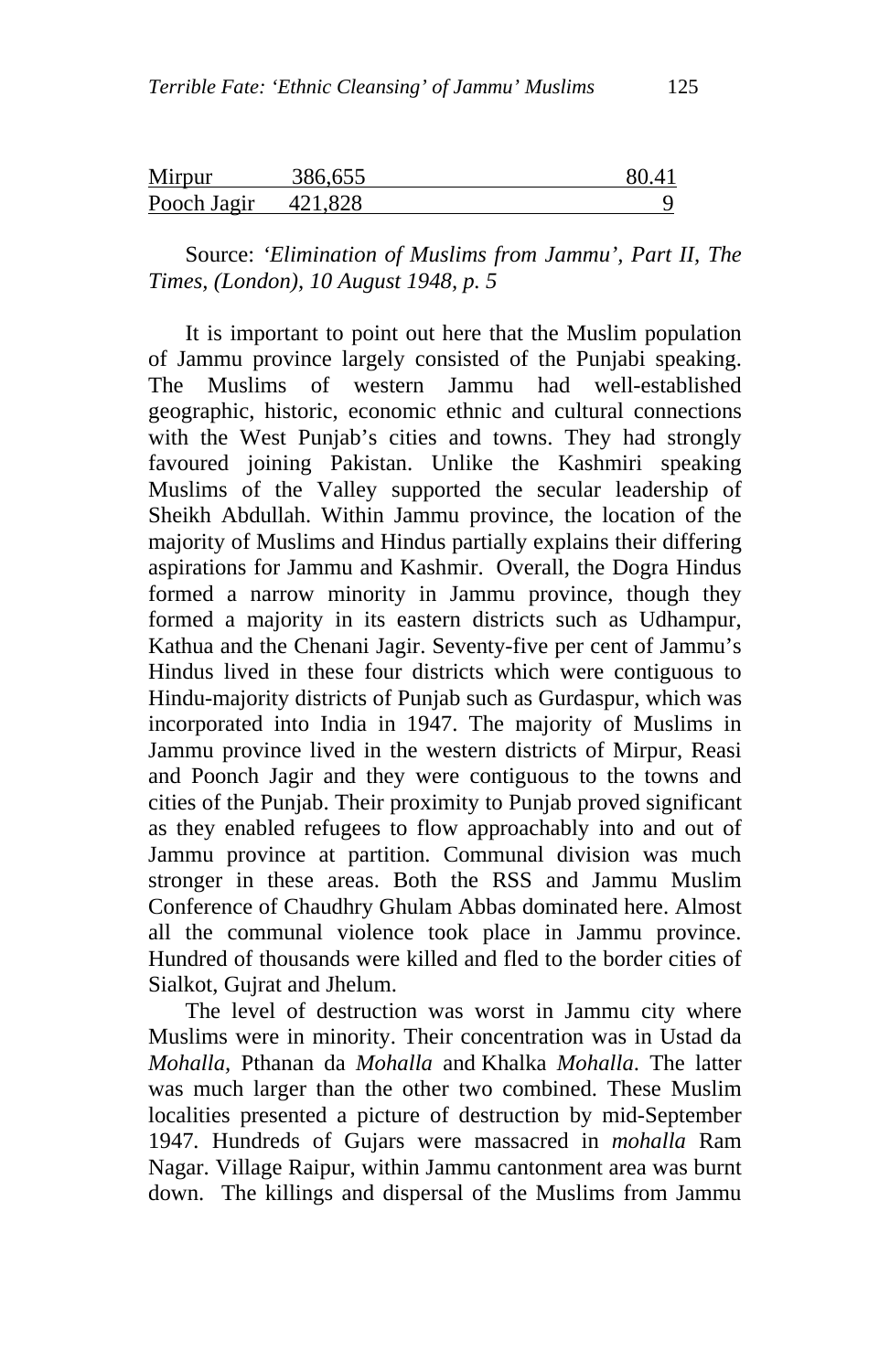| Mirpur      | 386,655 | 80.4 |
|-------------|---------|------|
| Pooch Jagir | 421.828 |      |

Source: *'Elimination of Muslims from Jammu', Part II, The Times, (London), 10 August 1948, p. 5* 

It is important to point out here that the Muslim population of Jammu province largely consisted of the Punjabi speaking. The Muslims of western Jammu had well-established geographic, historic, economic ethnic and cultural connections with the West Punjab's cities and towns. They had strongly favoured joining Pakistan. Unlike the Kashmiri speaking Muslims of the Valley supported the secular leadership of Sheikh Abdullah. Within Jammu province, the location of the majority of Muslims and Hindus partially explains their differing aspirations for Jammu and Kashmir. Overall, the Dogra Hindus formed a narrow minority in Jammu province, though they formed a majority in its eastern districts such as Udhampur, Kathua and the Chenani Jagir. Seventy-five per cent of Jammu's Hindus lived in these four districts which were contiguous to Hindu-majority districts of Punjab such as Gurdaspur, which was incorporated into India in 1947. The majority of Muslims in Jammu province lived in the western districts of Mirpur, Reasi and Poonch Jagir and they were contiguous to the towns and cities of the Punjab. Their proximity to Punjab proved significant as they enabled refugees to flow approachably into and out of Jammu province at partition. Communal division was much stronger in these areas. Both the RSS and Jammu Muslim Conference of Chaudhry Ghulam Abbas dominated here. Almost all the communal violence took place in Jammu province. Hundred of thousands were killed and fled to the border cities of Sialkot, Gujrat and Jhelum.

The level of destruction was worst in Jammu city where Muslims were in minority. Their concentration was in Ustad da *Mohalla,* Pthanan da *Mohalla* and Khalka *Mohalla*. The latter was much larger than the other two combined. These Muslim localities presented a picture of destruction by mid-September 1947*.* Hundreds of Gujars were massacred in *mohalla* Ram Nagar. Village Raipur, within Jammu cantonment area was burnt down. The killings and dispersal of the Muslims from Jammu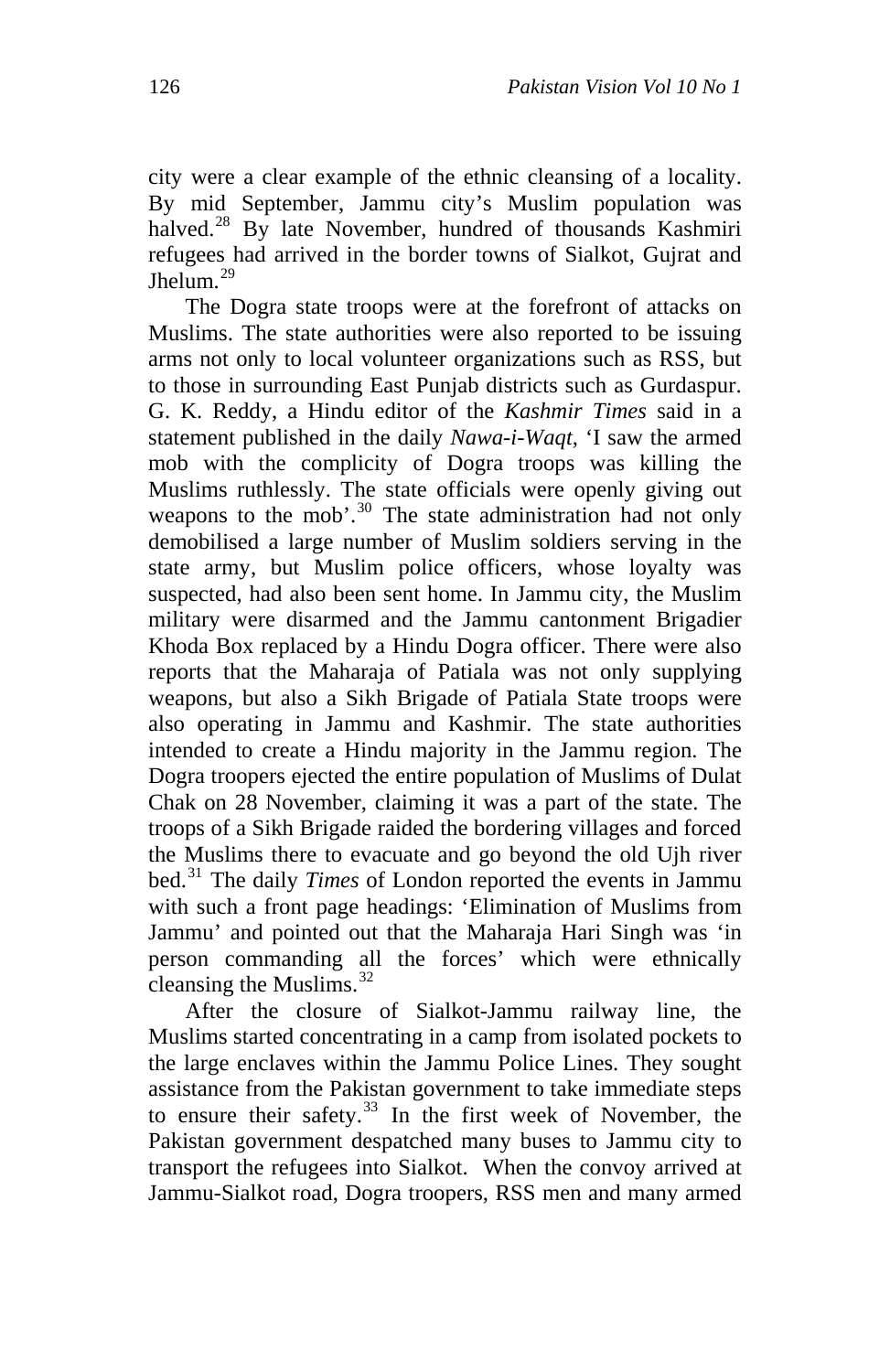city were a clear example of the ethnic cleansing of a locality. By mid September, Jammu city's Muslim population was halved.<sup>[28](#page-23-1)</sup> By late November, hundred of thousands Kashmiri refugees had arrived in the border towns of Sialkot, Gujrat and Jhelum.<sup>[29](#page-23-1)</sup>

The Dogra state troops were at the forefront of attacks on Muslims. The state authorities were also reported to be issuing arms not only to local volunteer organizations such as RSS, but to those in surrounding East Punjab districts such as Gurdaspur. G. K. Reddy, a Hindu editor of the *Kashmir Times* said in a statement published in the daily *Nawa-i-Waqt*, 'I saw the armed mob with the complicity of Dogra troops was killing the Muslims ruthlessly. The state officials were openly giving out weapons to the mob'.<sup>[30](#page-23-1)</sup> The state administration had not only demobilised a large number of Muslim soldiers serving in the state army, but Muslim police officers, whose loyalty was suspected, had also been sent home. In Jammu city, the Muslim military were disarmed and the Jammu cantonment Brigadier Khoda Box replaced by a Hindu Dogra officer. There were also reports that the Maharaja of Patiala was not only supplying weapons, but also a Sikh Brigade of Patiala State troops were also operating in Jammu and Kashmir. The state authorities intended to create a Hindu majority in the Jammu region. The Dogra troopers ejected the entire population of Muslims of Dulat Chak on 28 November, claiming it was a part of the state. The troops of a Sikh Brigade raided the bordering villages and forced the Muslims there to evacuate and go beyond the old Ujh river bed.[31](#page-23-1) The daily *Times* of London reported the events in Jammu with such a front page headings: 'Elimination of Muslims from Jammu' and pointed out that the Maharaja Hari Singh was 'in person commanding all the forces' which were ethnically cleansing the Muslims.<sup>[32](#page-23-1)</sup>

After the closure of Sialkot-Jammu railway line, the Muslims started concentrating in a camp from isolated pockets to the large enclaves within the Jammu Police Lines. They sought assistance from the Pakistan government to take immediate steps to ensure their safety.<sup>[33](#page-23-1)</sup> In the first week of November, the Pakistan government despatched many buses to Jammu city to transport the refugees into Sialkot. When the convoy arrived at Jammu-Sialkot road, Dogra troopers, RSS men and many armed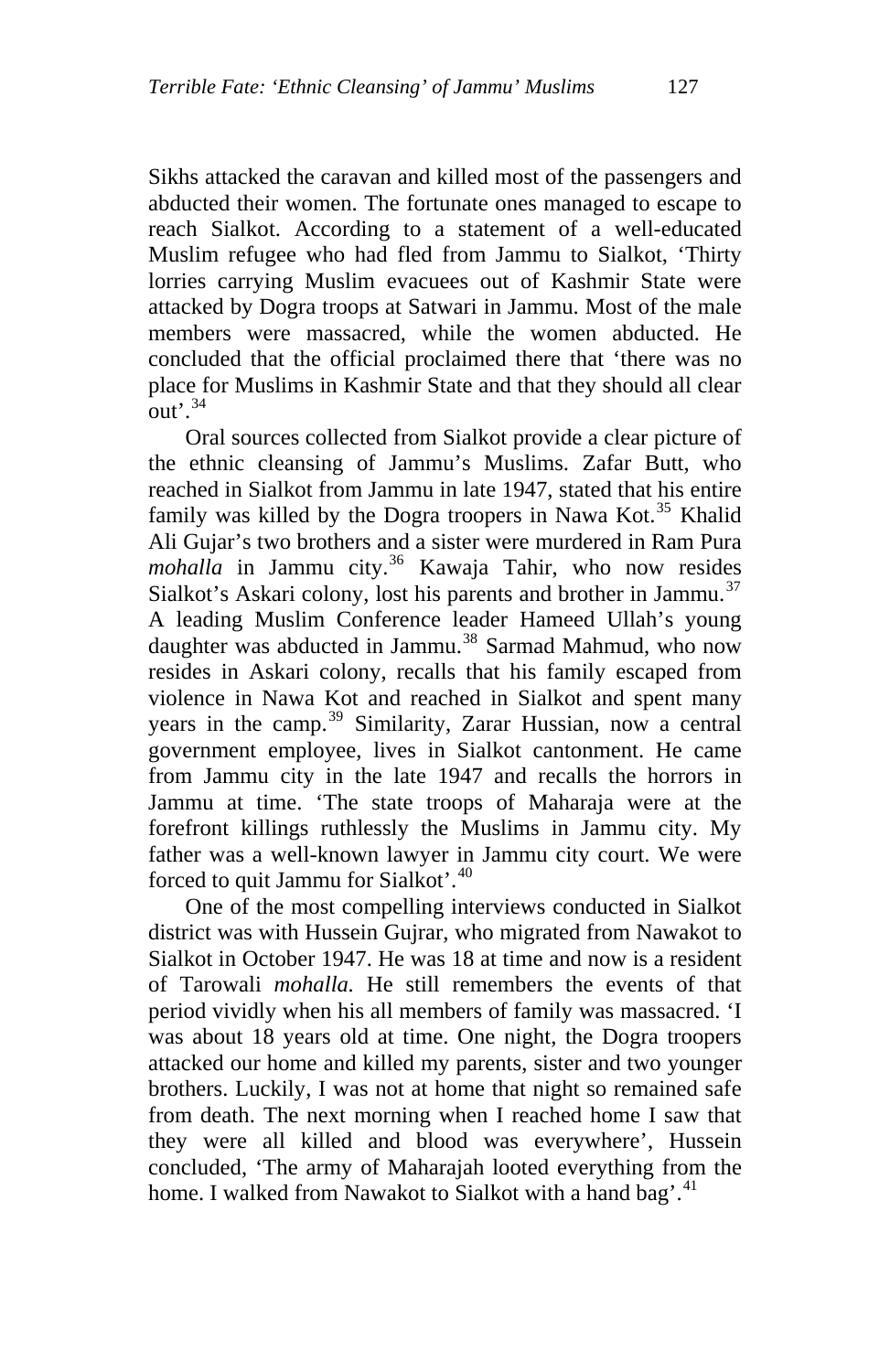Sikhs attacked the caravan and killed most of the passengers and abducted their women. The fortunate ones managed to escape to reach Sialkot. According to a statement of a well-educated Muslim refugee who had fled from Jammu to Sialkot, 'Thirty lorries carrying Muslim evacuees out of Kashmir State were attacked by Dogra troops at Satwari in Jammu. Most of the male members were massacred, while the women abducted. He concluded that the official proclaimed there that 'there was no place for Muslims in Kashmir State and that they should all clear out'.<sup>[34](#page-23-1)</sup>

Oral sources collected from Sialkot provide a clear picture of the ethnic cleansing of Jammu's Muslims. Zafar Butt, who reached in Sialkot from Jammu in late 1947, stated that his entire family was killed by the Dogra troopers in Nawa Kot.<sup>[35](#page-23-1)</sup> Khalid Ali Gujar's two brothers and a sister were murdered in Ram Pura mohalla in Jammu city.<sup>[36](#page-23-1)</sup> Kawaja Tahir, who now resides Sialkot's Askari colony, lost his parents and brother in Jammu.<sup>[37](#page-23-1)</sup> A leading Muslim Conference leader Hameed Ullah's young daughter was abducted in Jammu.<sup>[38](#page-23-1)</sup> Sarmad Mahmud, who now resides in Askari colony, recalls that his family escaped from violence in Nawa Kot and reached in Sialkot and spent many years in the camp.<sup>[39](#page-23-1)</sup> Similarity, Zarar Hussian, now a central government employee, lives in Sialkot cantonment. He came from Jammu city in the late 1947 and recalls the horrors in Jammu at time. 'The state troops of Maharaja were at the forefront killings ruthlessly the Muslims in Jammu city. My father was a well-known lawyer in Jammu city court. We were forced to quit Jammu for Sialkot'.[40](#page-23-1)

One of the most compelling interviews conducted in Sialkot district was with Hussein Gujrar, who migrated from Nawakot to Sialkot in October 1947. He was 18 at time and now is a resident of Tarowali *mohalla.* He still remembers the events of that period vividly when his all members of family was massacred. 'I was about 18 years old at time. One night, the Dogra troopers attacked our home and killed my parents, sister and two younger brothers. Luckily, I was not at home that night so remained safe from death. The next morning when I reached home I saw that they were all killed and blood was everywhere', Hussein concluded, 'The army of Maharajah looted everything from the home. I walked from Nawakot to Sialkot with a hand bag'.<sup>[41](#page-23-1)</sup>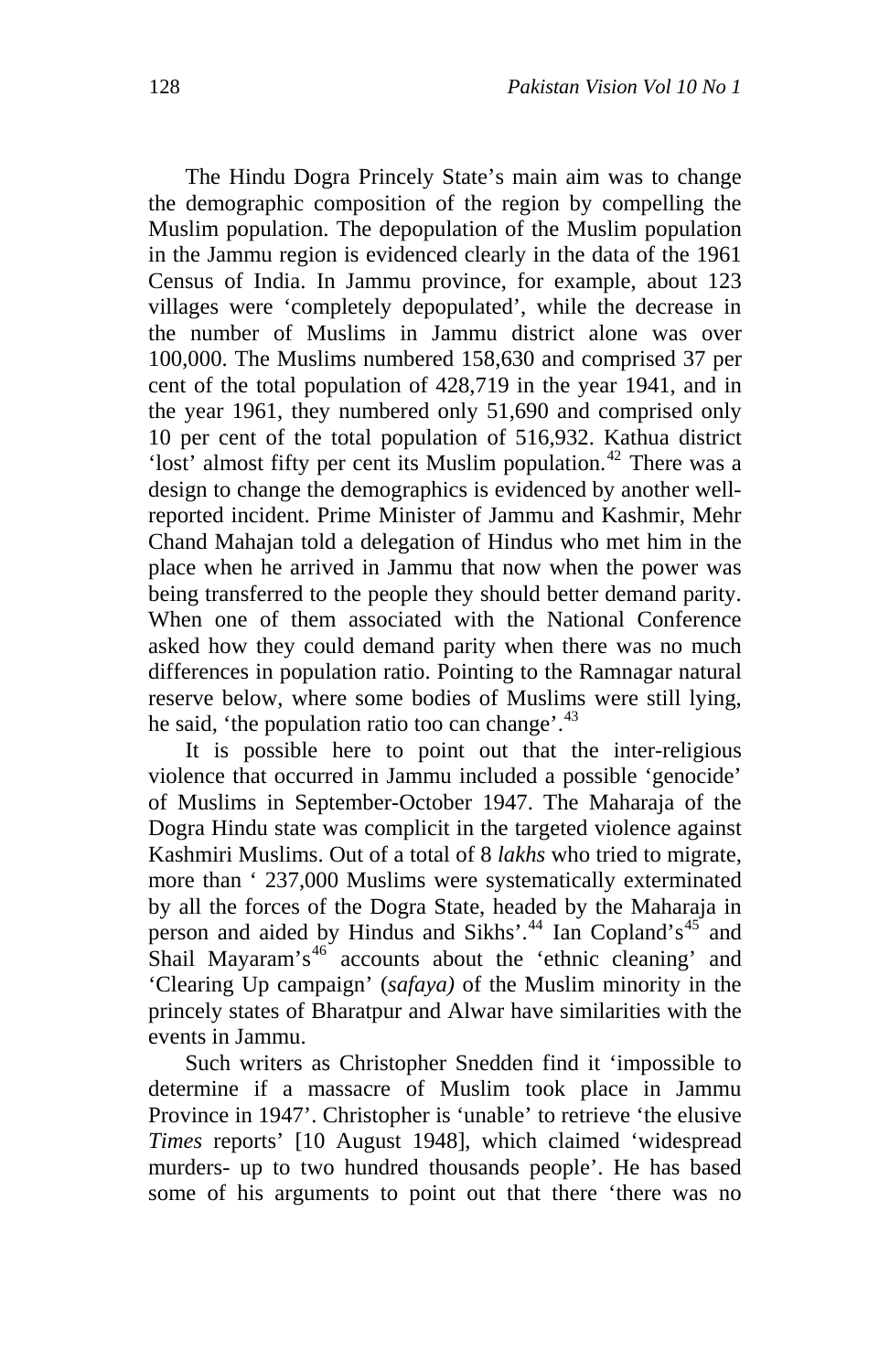The Hindu Dogra Princely State's main aim was to change the demographic composition of the region by compelling the Muslim population. The depopulation of the Muslim population in the Jammu region is evidenced clearly in the data of the 1961 Census of India. In Jammu province, for example, about 123 villages were 'completely depopulated', while the decrease in the number of Muslims in Jammu district alone was over 100,000. The Muslims numbered 158,630 and comprised 37 per cent of the total population of 428,719 in the year 1941, and in the year 1961, they numbered only 51,690 and comprised only 10 per cent of the total population of 516,932. Kathua district 'lost' almost fifty per cent its Muslim population.<sup>[42](#page-23-1)</sup> There was a design to change the demographics is evidenced by another wellreported incident. Prime Minister of Jammu and Kashmir, Mehr Chand Mahajan told a delegation of Hindus who met him in the place when he arrived in Jammu that now when the power was being transferred to the people they should better demand parity. When one of them associated with the National Conference asked how they could demand parity when there was no much differences in population ratio. Pointing to the Ramnagar natural reserve below, where some bodies of Muslims were still lying, he said, 'the population ratio too can change'.<sup>[43](#page-23-1)</sup>

It is possible here to point out that the inter-religious violence that occurred in Jammu included a possible 'genocide' of Muslims in September-October 1947. The Maharaja of the Dogra Hindu state was complicit in the targeted violence against Kashmiri Muslims. Out of a total of 8 *lakhs* who tried to migrate, more than ' 237,000 Muslims were systematically exterminated by all the forces of the Dogra State, headed by the Maharaja in person and aided by Hindus and Sikhs'.<sup>[44](#page-23-1)</sup> Ian Copland's<sup>[45](#page-23-1)</sup> and Shail Mayaram's<sup>[46](#page-23-1)</sup> accounts about the 'ethnic cleaning' and 'Clearing Up campaign' (*safaya)* of the Muslim minority in the princely states of Bharatpur and Alwar have similarities with the events in Jammu.

Such writers as Christopher Snedden find it 'impossible to determine if a massacre of Muslim took place in Jammu Province in 1947'. Christopher is 'unable' to retrieve 'the elusive *Times* reports' [10 August 1948], which claimed 'widespread murders- up to two hundred thousands people'. He has based some of his arguments to point out that there 'there was no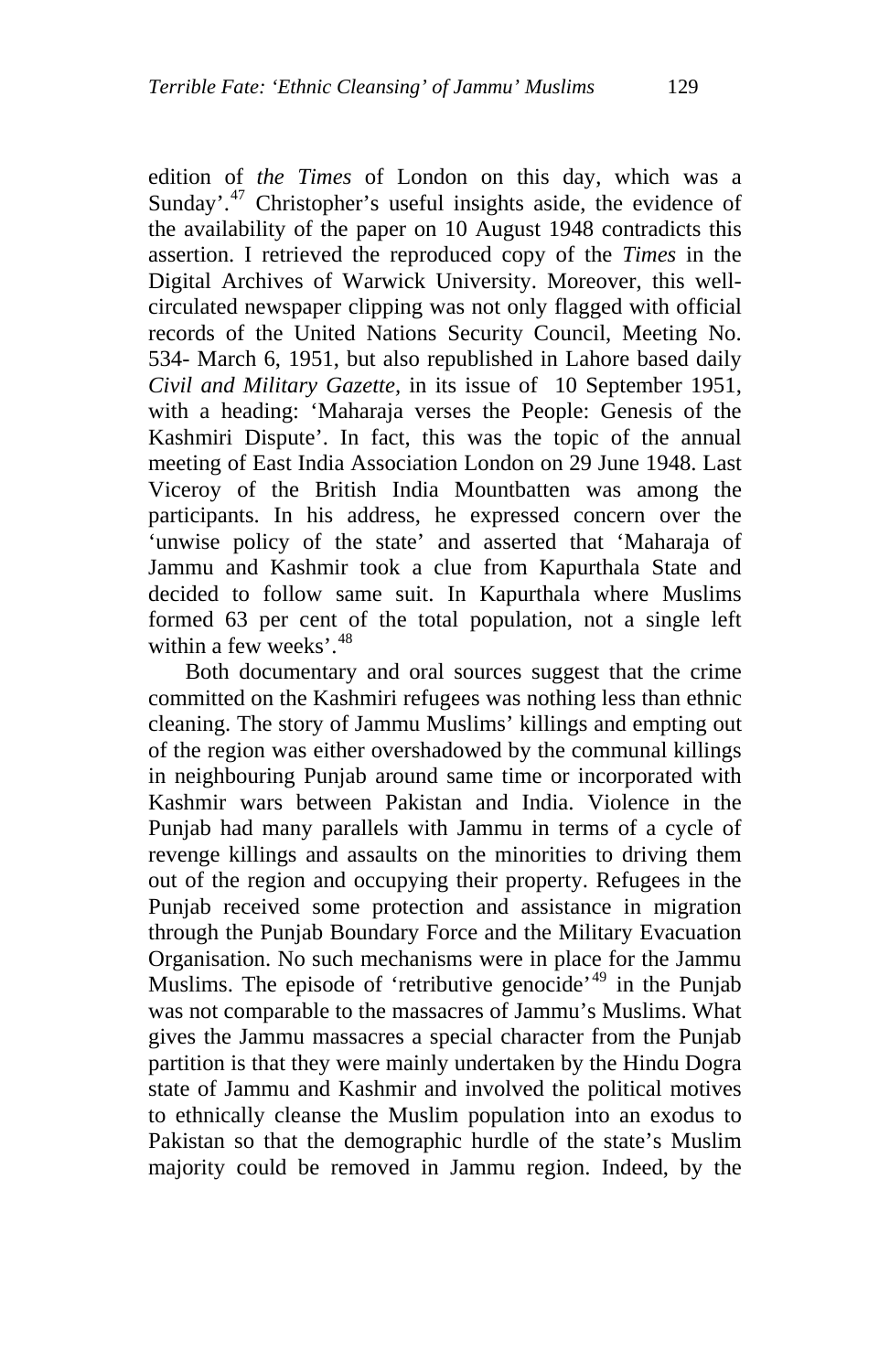edition of *the Times* of London on this day, which was a Sunday'.<sup>[47](#page-23-1)</sup> Christopher's useful insights aside, the evidence of the availability of the paper on 10 August 1948 contradicts this assertion. I retrieved the reproduced copy of the *Times* in the Digital Archives of Warwick University. Moreover, this wellcirculated newspaper clipping was not only flagged with official records of the United Nations Security Council, Meeting No. 534- March 6, 1951, but also republished in Lahore based daily *Civil and Military Gazette,* in its issue of 10 September 1951, with a heading: 'Maharaja verses the People: Genesis of the Kashmiri Dispute'. In fact, this was the topic of the annual meeting of East India Association London on 29 June 1948. Last Viceroy of the British India Mountbatten was among the participants. In his address, he expressed concern over the 'unwise policy of the state' and asserted that 'Maharaja of Jammu and Kashmir took a clue from Kapurthala State and decided to follow same suit. In Kapurthala where Muslims formed 63 per cent of the total population, not a single left within a few weeks'  $48$ 

Both documentary and oral sources suggest that the crime committed on the Kashmiri refugees was nothing less than ethnic cleaning. The story of Jammu Muslims' killings and empting out of the region was either overshadowed by the communal killings in neighbouring Punjab around same time or incorporated with Kashmir wars between Pakistan and India. Violence in the Punjab had many parallels with Jammu in terms of a cycle of revenge killings and assaults on the minorities to driving them out of the region and occupying their property. Refugees in the Punjab received some protection and assistance in migration through the Punjab Boundary Force and the Military Evacuation Organisation. No such mechanisms were in place for the Jammu Muslims. The episode of 'retributive genocide'<sup>[49](#page-23-1)</sup> in the Punjab was not comparable to the massacres of Jammu's Muslims. What gives the Jammu massacres a special character from the Punjab partition is that they were mainly undertaken by the Hindu Dogra state of Jammu and Kashmir and involved the political motives to ethnically cleanse the Muslim population into an exodus to Pakistan so that the demographic hurdle of the state's Muslim majority could be removed in Jammu region. Indeed, by the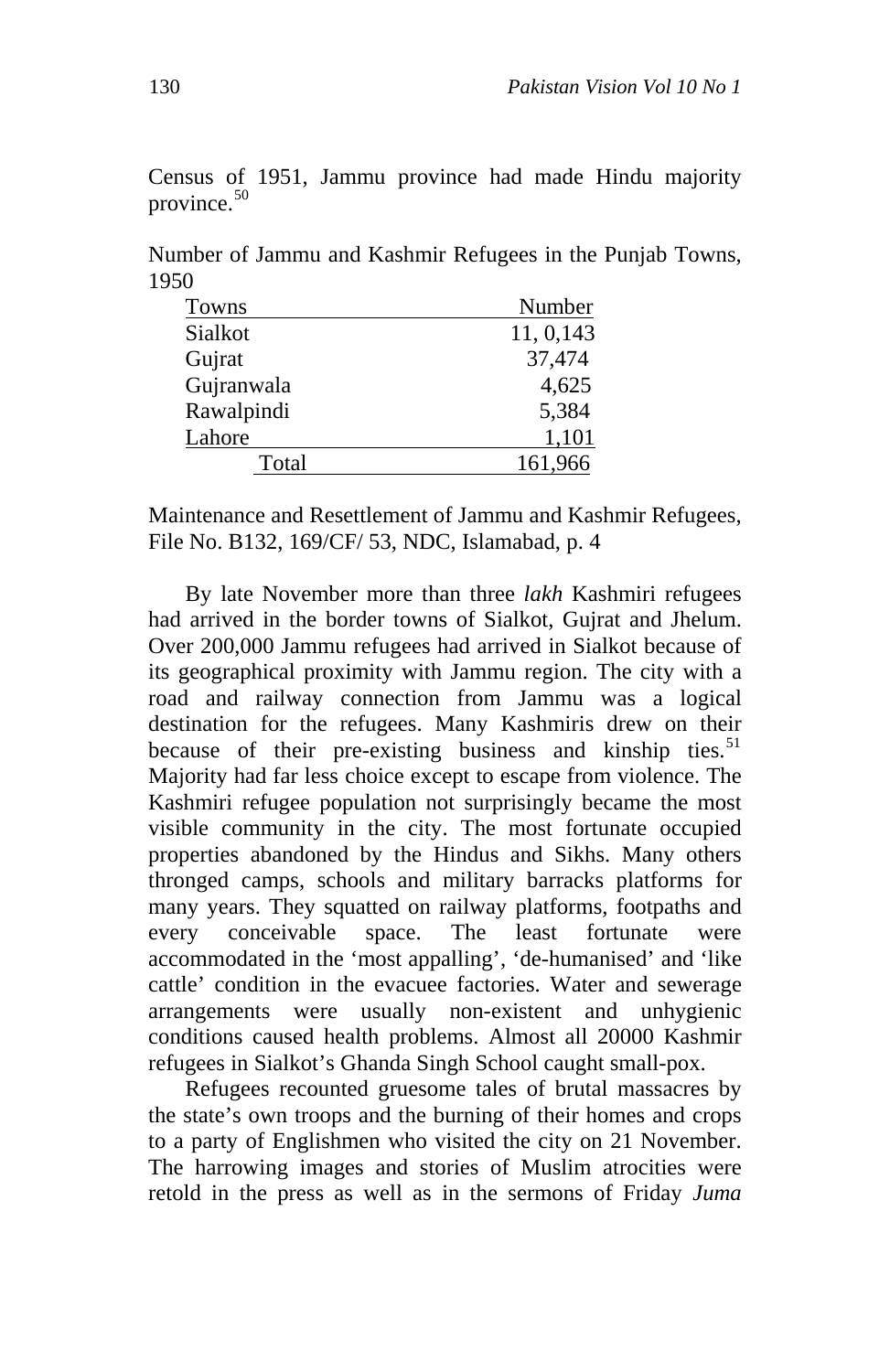Census of 1951, Jammu province had made Hindu majority province. $50$ 

Number of Jammu and Kashmir Refugees in the Punjab Towns, 1950

| Towns      | Number     |
|------------|------------|
| Sialkot    | 11, 0, 143 |
| Gujrat     | 37,474     |
| Gujranwala | 4,625      |
| Rawalpindi | 5,384      |
| Lahore     | 1,101      |
| Total      | 161,966    |

Maintenance and Resettlement of Jammu and Kashmir Refugees, File No. B132, 169/CF/ 53, NDC, Islamabad, p. 4

By late November more than three *lakh* Kashmiri refugees had arrived in the border towns of Sialkot, Gujrat and Jhelum. Over 200,000 Jammu refugees had arrived in Sialkot because of its geographical proximity with Jammu region. The city with a road and railway connection from Jammu was a logical destination for the refugees. Many Kashmiris drew on their because of their pre-existing business and kinship ties.<sup>[51](#page-23-1)</sup> Majority had far less choice except to escape from violence. The Kashmiri refugee population not surprisingly became the most visible community in the city. The most fortunate occupied properties abandoned by the Hindus and Sikhs. Many others thronged camps, schools and military barracks platforms for many years. They squatted on railway platforms, footpaths and every conceivable space. The least fortunate were accommodated in the 'most appalling', 'de-humanised' and 'like cattle' condition in the evacuee factories. Water and sewerage arrangements were usually non-existent and unhygienic conditions caused health problems. Almost all 20000 Kashmir refugees in Sialkot's Ghanda Singh School caught small-pox.

Refugees recounted gruesome tales of brutal massacres by the state's own troops and the burning of their homes and crops to a party of Englishmen who visited the city on 21 November. The harrowing images and stories of Muslim atrocities were retold in the press as well as in the sermons of Friday *Juma*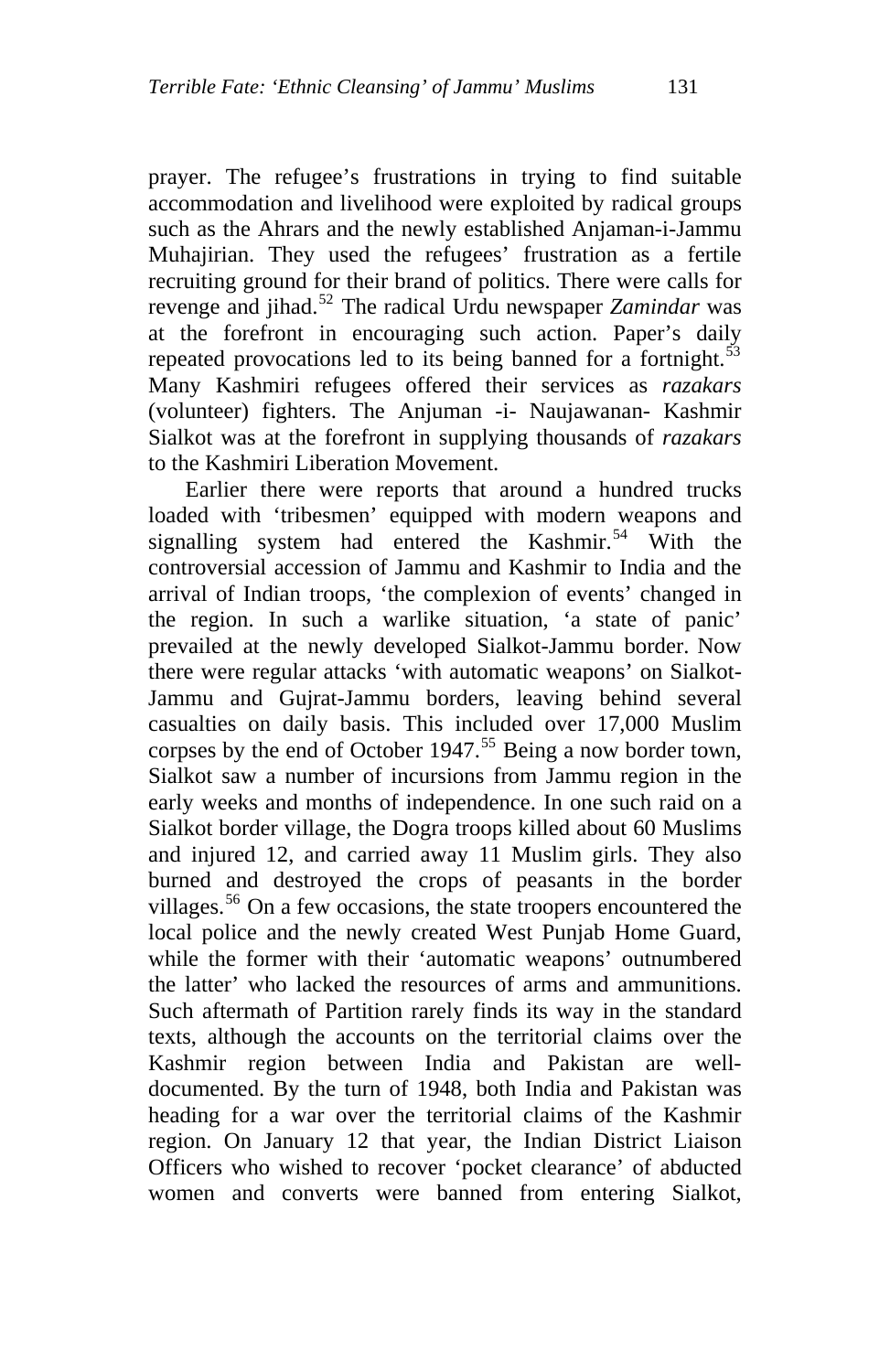prayer. The refugee's frustrations in trying to find suitable accommodation and livelihood were exploited by radical groups such as the Ahrars and the newly established Anjaman-i-Jammu Muhajirian. They used the refugees' frustration as a fertile recruiting ground for their brand of politics. There were calls for revenge and jihad.[52](#page-23-1) The radical Urdu newspaper *Zamindar* was at the forefront in encouraging such action. Paper's daily repeated provocations led to its being banned for a fortnight. $53$ Many Kashmiri refugees offered their services as *razakars* (volunteer) fighters. The Anjuman -i- Naujawanan- Kashmir Sialkot was at the forefront in supplying thousands of *razakars* to the Kashmiri Liberation Movement.

Earlier there were reports that around a hundred trucks loaded with 'tribesmen' equipped with modern weapons and signalling system had entered the Kashmir.<sup>[54](#page-23-1)</sup> With the controversial accession of Jammu and Kashmir to India and the arrival of Indian troops, 'the complexion of events' changed in the region. In such a warlike situation, 'a state of panic' prevailed at the newly developed Sialkot-Jammu border. Now there were regular attacks 'with automatic weapons' on Sialkot-Jammu and Gujrat-Jammu borders, leaving behind several casualties on daily basis. This included over 17,000 Muslim corpses by the end of October  $1947$ .<sup>[55](#page-23-1)</sup> Being a now border town, Sialkot saw a number of incursions from Jammu region in the early weeks and months of independence. In one such raid on a Sialkot border village, the Dogra troops killed about 60 Muslims and injured 12, and carried away 11 Muslim girls. They also burned and destroyed the crops of peasants in the border villages.<sup>[56](#page-23-1)</sup> On a few occasions, the state troopers encountered the local police and the newly created West Punjab Home Guard, while the former with their 'automatic weapons' outnumbered the latter' who lacked the resources of arms and ammunitions. Such aftermath of Partition rarely finds its way in the standard texts, although the accounts on the territorial claims over the Kashmir region between India and Pakistan are welldocumented. By the turn of 1948, both India and Pakistan was heading for a war over the territorial claims of the Kashmir region. On January 12 that year, the Indian District Liaison Officers who wished to recover 'pocket clearance' of abducted women and converts were banned from entering Sialkot,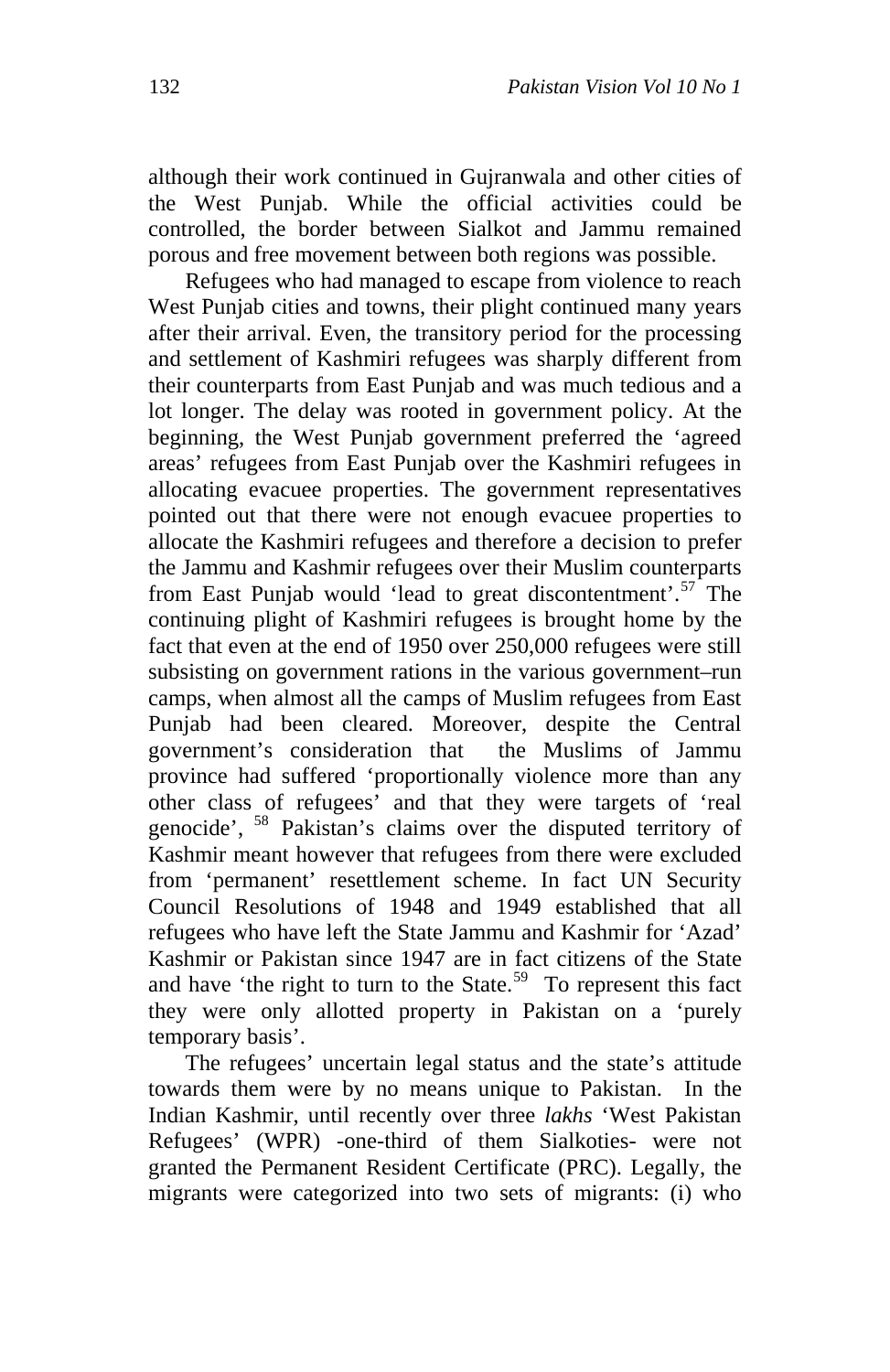although their work continued in Gujranwala and other cities of the West Punjab. While the official activities could be controlled, the border between Sialkot and Jammu remained porous and free movement between both regions was possible.

Refugees who had managed to escape from violence to reach West Punjab cities and towns, their plight continued many years after their arrival. Even, the transitory period for the processing and settlement of Kashmiri refugees was sharply different from their counterparts from East Punjab and was much tedious and a lot longer. The delay was rooted in government policy. At the beginning, the West Punjab government preferred the 'agreed areas' refugees from East Punjab over the Kashmiri refugees in allocating evacuee properties. The government representatives pointed out that there were not enough evacuee properties to allocate the Kashmiri refugees and therefore a decision to prefer the Jammu and Kashmir refugees over their Muslim counterparts from East Punjab would 'lead to great discontentment'.<sup>[57](#page-23-1)</sup> The continuing plight of Kashmiri refugees is brought home by the fact that even at the end of 1950 over 250,000 refugees were still subsisting on government rations in the various government–run camps, when almost all the camps of Muslim refugees from East Punjab had been cleared. Moreover, despite the Central government's consideration that the Muslims of Jammu province had suffered 'proportionally violence more than any other class of refugees' and that they were targets of 'real genocide', [58](#page-23-1) Pakistan's claims over the disputed territory of Kashmir meant however that refugees from there were excluded from 'permanent' resettlement scheme. In fact UN Security Council Resolutions of 1948 and 1949 established that all refugees who have left the State Jammu and Kashmir for 'Azad' Kashmir or Pakistan since 1947 are in fact citizens of the State and have 'the right to turn to the State.<sup>[59](#page-23-1)</sup> To represent this fact they were only allotted property in Pakistan on a 'purely temporary basis'.

The refugees' uncertain legal status and the state's attitude towards them were by no means unique to Pakistan. In the Indian Kashmir, until recently over three *lakhs* 'West Pakistan Refugees' (WPR) -one-third of them Sialkoties- were not granted the Permanent Resident Certificate (PRC). Legally, the migrants were categorized into two sets of migrants: (i) who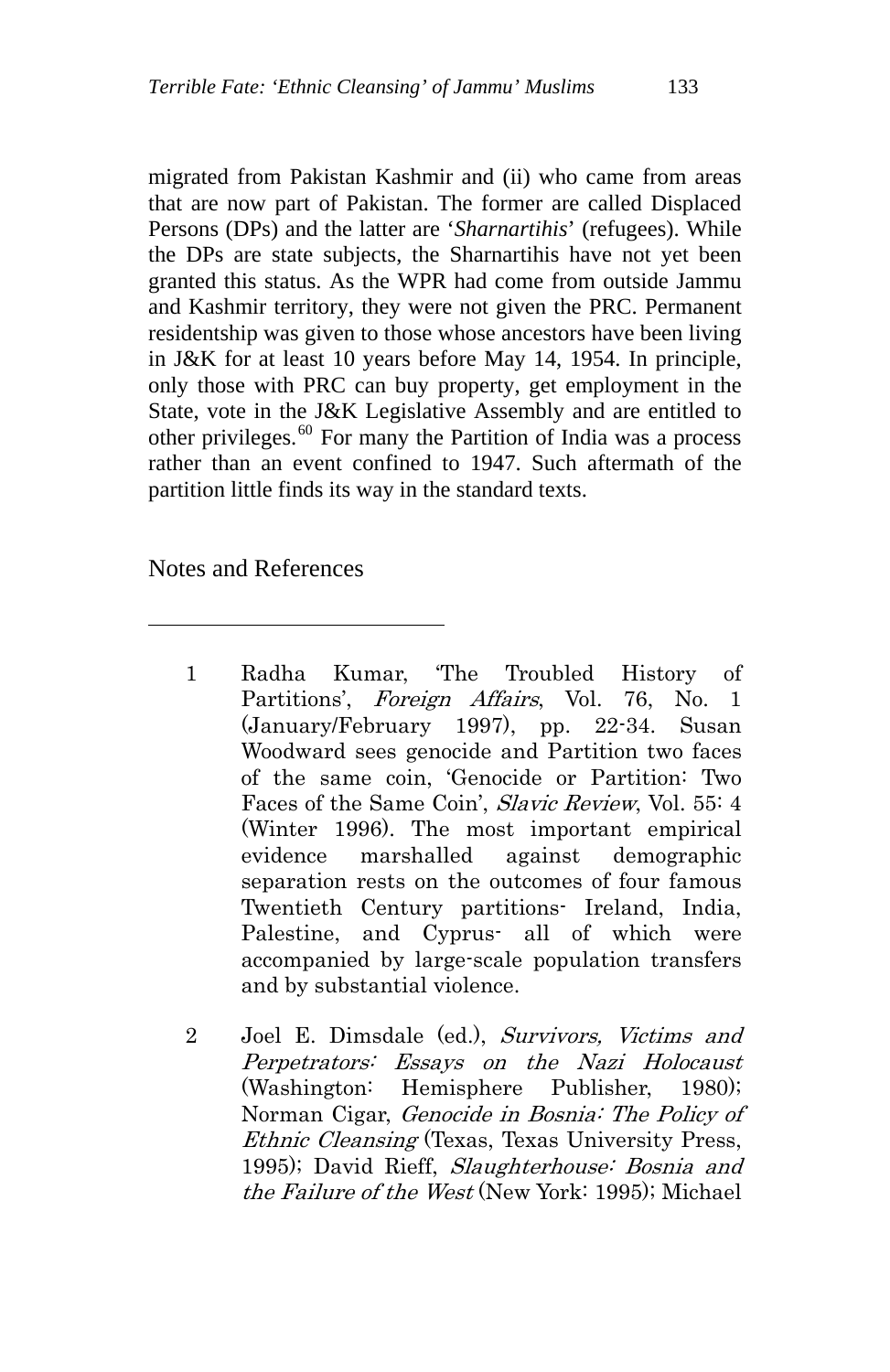migrated from Pakistan Kashmir and (ii) who came from areas that are now part of Pakistan. The former are called Displaced Persons (DPs) and the latter are '*Sharnartihis*' (refugees). While the DPs are state subjects, the Sharnartihis have not yet been granted this status. As the WPR had come from outside Jammu and Kashmir territory, they were not given the PRC. Permanent residentship was given to those whose ancestors have been living in J&K for at least 10 years before May 14, 1954. In principle, only those with PRC can buy property, get employment in the State, vote in the J&K Legislative Assembly and are entitled to other privileges. $60$  For many the Partition of India was a process rather than an event confined to 1947. Such aftermath of the partition little finds its way in the standard texts.

Notes and References

 $\overline{a}$ 

- 1 Radha Kumar, 'The Troubled History of Partitions', *Foreign Affairs*, Vol. 76, No. 1 (January/February 1997), pp. 22-34. Susan Woodward sees genocide and Partition two faces of the same coin, 'Genocide or Partition: Two Faces of the Same Coin', Slavic Review, Vol. 55: 4 (Winter 1996). The most important empirical evidence marshalled against demographic separation rests on the outcomes of four famous Twentieth Century partitions- Ireland, India, Palestine, and Cyprus- all of which were accompanied by large-scale population transfers and by substantial violence.
- 2 Joel E. Dimsdale (ed.), Survivors, Victims and Perpetrators: Essays on the Nazi Holocaust (Washington: Hemisphere Publisher, 1980); Norman Cigar, Genocide in Bosnia: The Policy of Ethnic Cleansing (Texas, Texas University Press, 1995); David Rieff, Slaughterhouse: Bosnia and the Failure of the West (New York: 1995); Michael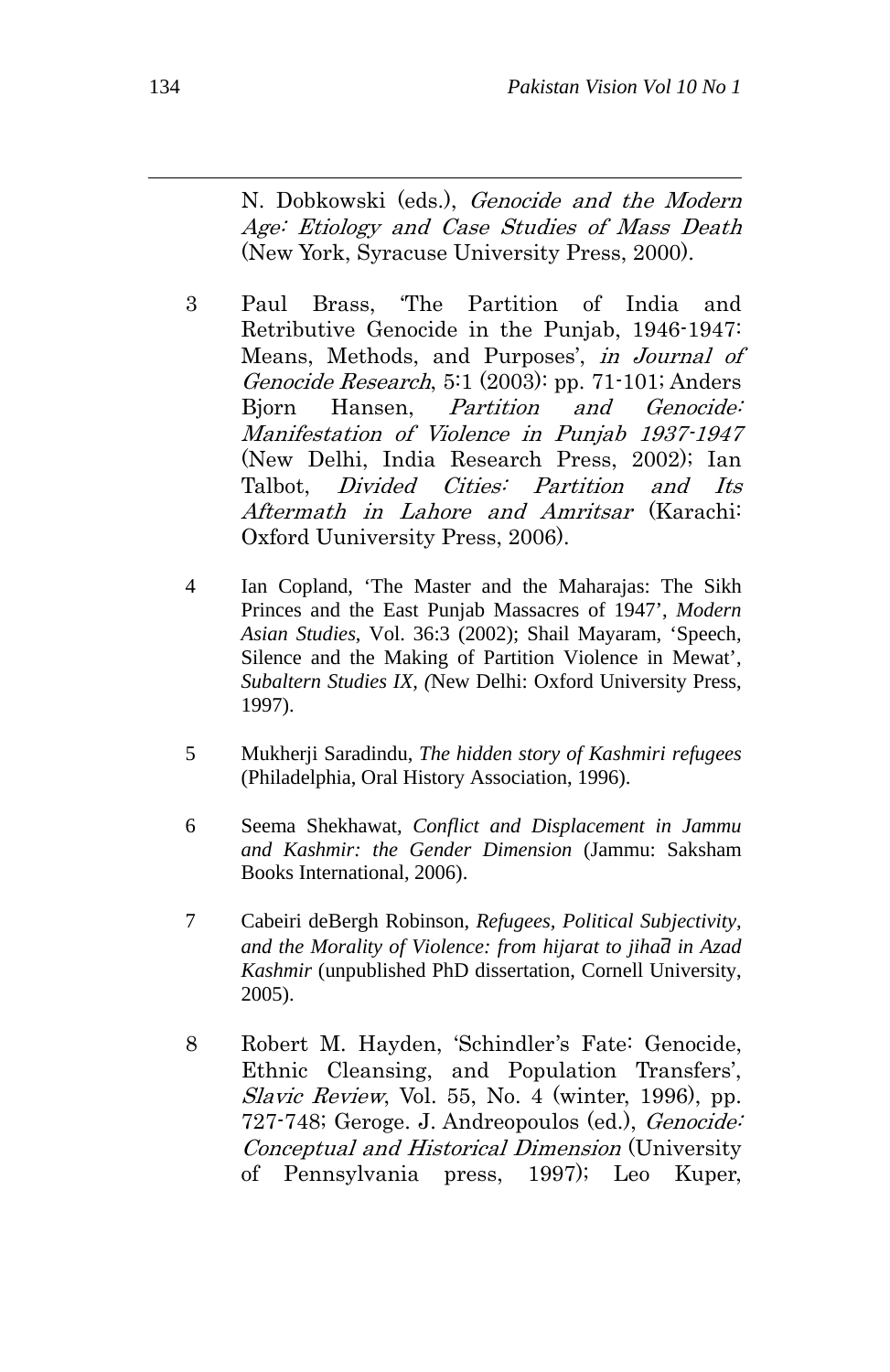N. Dobkowski (eds.), Genocide and the Modern Age: Etiology and Case Studies of Mass Death (New York, Syracuse University Press, 2000).

- 3 Paul Brass, 'The Partition of India and Retributive Genocide in the Punjab, 1946-1947: Means, Methods, and Purposes', in Journal of Genocide Research, 5:1 (2003): pp. 71-101; Anders Bjorn Hansen, *Partition and Genocide*: Manifestation of Violence in Punjab 1937-1947 (New Delhi, India Research Press, 2002); Ian Talbot, Divided Cities: Partition and Its Aftermath in Lahore and Amritsar (Karachi: Oxford Uuniversity Press, 2006).
- 4 Ian Copland, 'The Master and the Maharajas: The Sikh Princes and the East Punjab Massacres of 1947', *Modern Asian Studies*, Vol. 36:3 (2002); Shail Mayaram, 'Speech, Silence and the Making of Partition Violence in Mewat', *Subaltern Studies IX, (*New Delhi: Oxford University Press, 1997).
- 5 Mukherji Saradindu, *The hidden story of Kashmiri refugees* (Philadelphia, Oral History Association, 1996).
- 6 Seema Shekhawat, *Conflict and Displacement in Jammu and Kashmir: the Gender Dimension* (Jammu: Saksham Books International, 2006).
- 7 Cabeiri deBergh Robinson, *Refugees, Political Subjectivity, and the Morality of Violence: from hijarat to jiha*̄*d in Azad Kashmir* (unpublished PhD dissertation, Cornell University, 2005).
- 8 Robert M. Hayden, 'Schindler's Fate: Genocide, Ethnic Cleansing, and Population Transfers', Slavic Review, Vol. 55, No. 4 (winter, 1996), pp. 727-748; Geroge. J. Andreopoulos (ed.), Genocide: Conceptual and Historical Dimension (University of Pennsylvania press, 1997); Leo Kuper,

 $\overline{a}$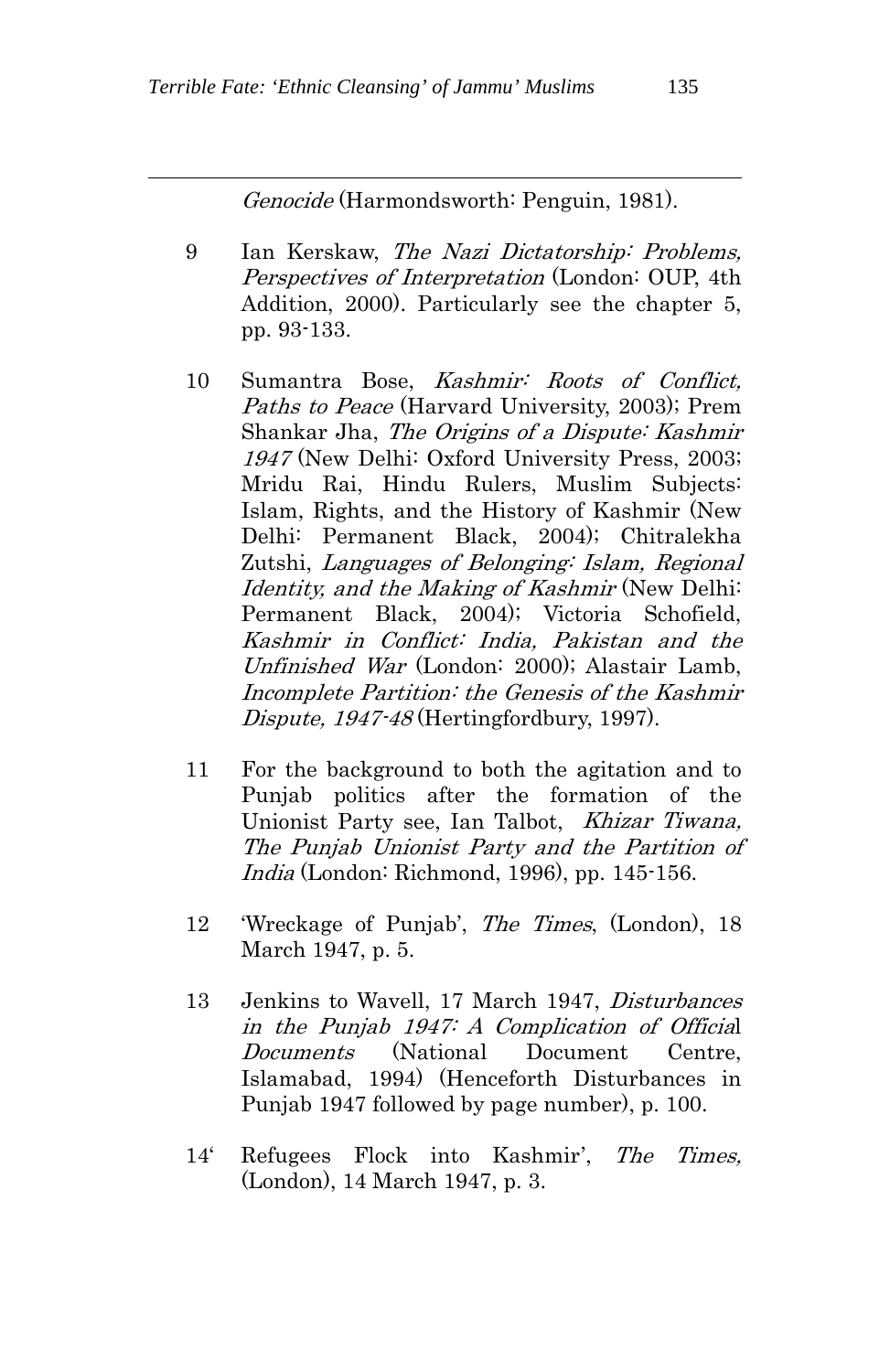Genocide (Harmondsworth: Penguin, 1981).

- 9 Ian Kerskaw, The Nazi Dictatorship: Problems, Perspectives of Interpretation (London: OUP, 4th Addition, 2000). Particularly see the chapter 5, pp. 93-133.
- 10 Sumantra Bose, Kashmir: Roots of Conflict, Paths to Peace (Harvard University, 2003); Prem Shankar Jha, The Origins of a Dispute: Kashmir 1947 (New Delhi: Oxford University Press, 2003; Mridu Rai, Hindu Rulers, Muslim Subjects: Islam, Rights, and the History of Kashmir (New Delhi: Permanent Black, 2004); Chitralekha Zutshi, Languages of Belonging: Islam, Regional Identity, and the Making of Kashmir (New Delhi: Permanent Black, 2004); Victoria Schofield, Kashmir in Conflict: India, Pakistan and the Unfinished War (London: 2000); Alastair Lamb, Incomplete Partition: the Genesis of the Kashmir Dispute, 1947-48 (Hertingfordbury, 1997).
- 11 For the background to both the agitation and to Punjab politics after the formation of the Unionist Party see, Ian Talbot, Khizar Tiwana, The Punjab Unionist Party and the Partition of India (London: Richmond, 1996), pp. 145-156.
- 12 'Wreckage of Punjab', The Times, (London), 18 March 1947, p. 5.
- 13 Jenkins to Wavell, 17 March 1947, *Disturbances* in the Punjab 1947: A Complication of Official Documents (National Document Centre, Islamabad, 1994) (Henceforth Disturbances in Punjab 1947 followed by page number), p. 100.
- 14' Refugees Flock into Kashmir', The Times, (London), 14 March 1947, p. 3.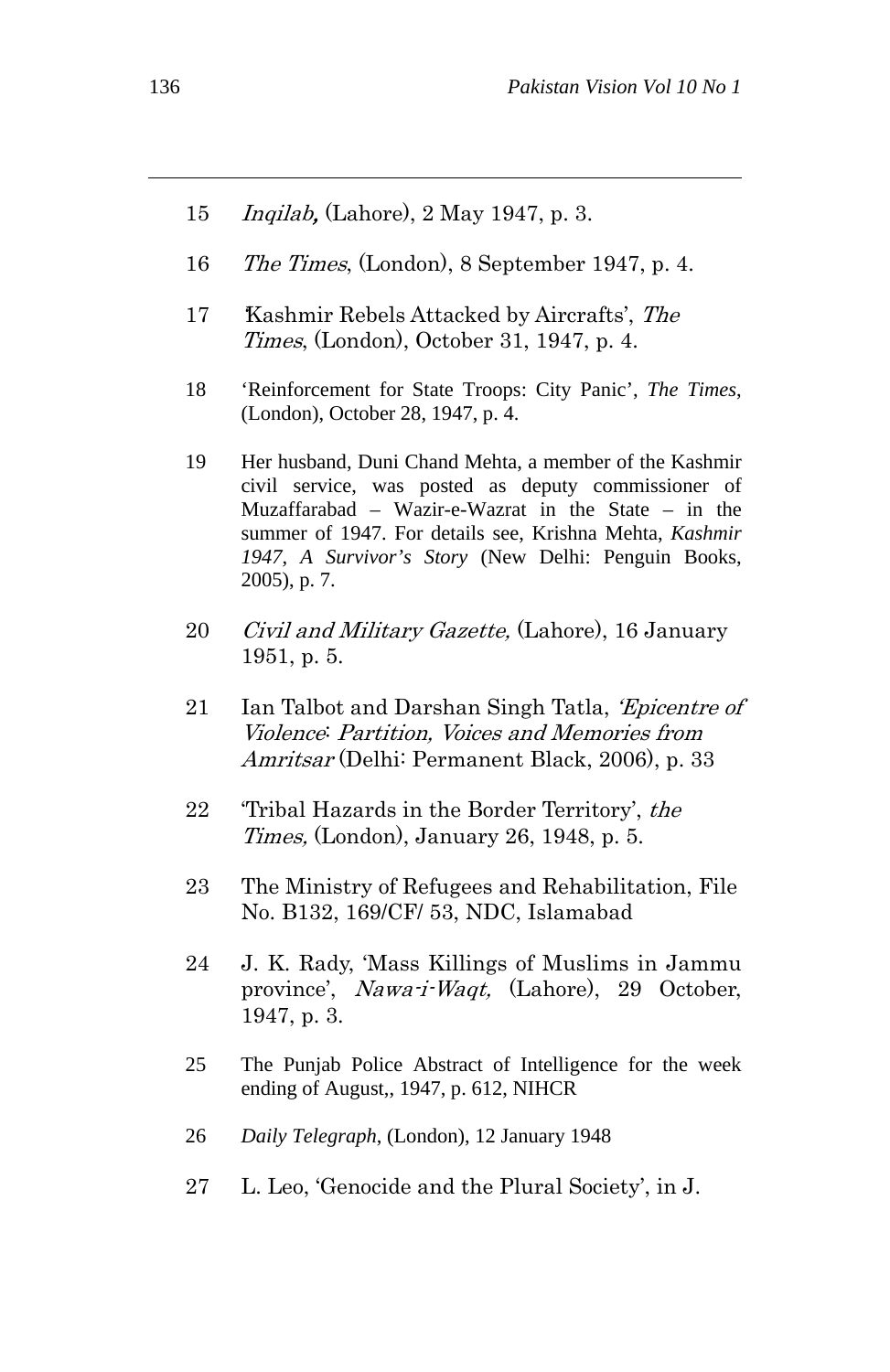- 15 Inqilab, (Lahore), 2 May 1947, p. 3.
- 16 The Times, (London), 8 September 1947, p. 4.
- 17 Kashmir Rebels Attacked by Aircrafts', The Times, (London), October 31, 1947, p. 4.
- 18 'Reinforcement for State Troops: City Panic', *The Times*, (London), October 28, 1947, p. 4.
- 19 Her husband, Duni Chand Mehta, a member of the Kashmir civil service, was posted as deputy commissioner of Muzaffarabad – Wazir-e-Wazrat in the State – in the summer of 1947. For details see, Krishna Mehta, *Kashmir 1947, A Survivor's Story* (New Delhi: Penguin Books, 2005), p. 7.
- 20 *Civil and Military Gazette*, (Lahore), 16 January 1951, p. 5.
- 21 Ian Talbot and Darshan Singh Tatla, *Epicentre of* Violence: Partition, Voices and Memories from Amritsar (Delhi: Permanent Black, 2006), p. 33
- 22 Tribal Hazards in the Border Territory', the Times, (London), January 26, 1948, p. 5.
- 23 The Ministry of Refugees and Rehabilitation, File No. B132, 169/CF/ 53, NDC, Islamabad
- 24 J. K. Rady, 'Mass Killings of Muslims in Jammu province', Nawa-i-Waqt, (Lahore), 29 October, 1947, p. 3.
- 25 The Punjab Police Abstract of Intelligence for the week ending of August,, 1947, p. 612, NIHCR
- 26 *Daily Telegraph*, (London), 12 January 1948
- 27 L. Leo, 'Genocide and the Plural Society', in J.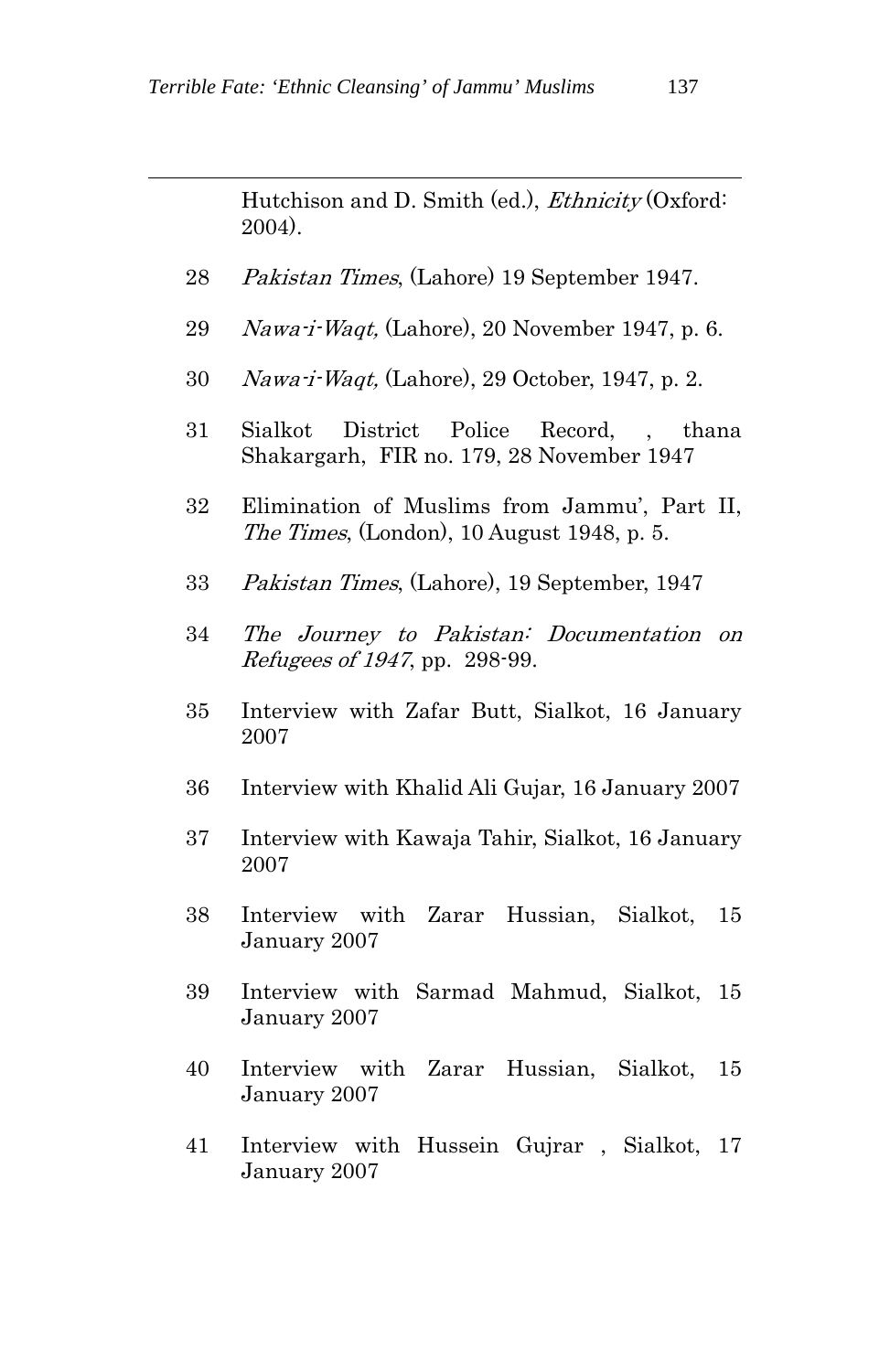Hutchison and D. Smith (ed.), *Ethnicity* (Oxford: 2004).

- 28 Pakistan Times, (Lahore) 19 September 1947.
- 29 Nawa-i-Waqt, (Lahore), 20 November 1947, p. 6.
- 30 Nawa-i-Waqt, (Lahore), 29 October, 1947, p. 2.
- 31 Sialkot District Police Record, , thana Shakargarh, FIR no. 179, 28 November 1947
- 32 Elimination of Muslims from Jammu', Part II, The Times, (London), 10 August 1948, p. 5.
- 33 Pakistan Times, (Lahore), 19 September, 1947
- 34 The Journey to Pakistan: Documentation on Refugees of 1947, pp. 298-99.
- 35 Interview with Zafar Butt, Sialkot, 16 January 2007
- 36 Interview with Khalid Ali Gujar, 16 January 2007
- 37 Interview with Kawaja Tahir, Sialkot, 16 January 2007
- 38 Interview with Zarar Hussian, Sialkot, 15 January 2007
- 39 Interview with Sarmad Mahmud, Sialkot, 15 January 2007
- 40 Interview with Zarar Hussian, Sialkot, 15 January 2007
- 41 Interview with Hussein Gujrar , Sialkot, 17 January 2007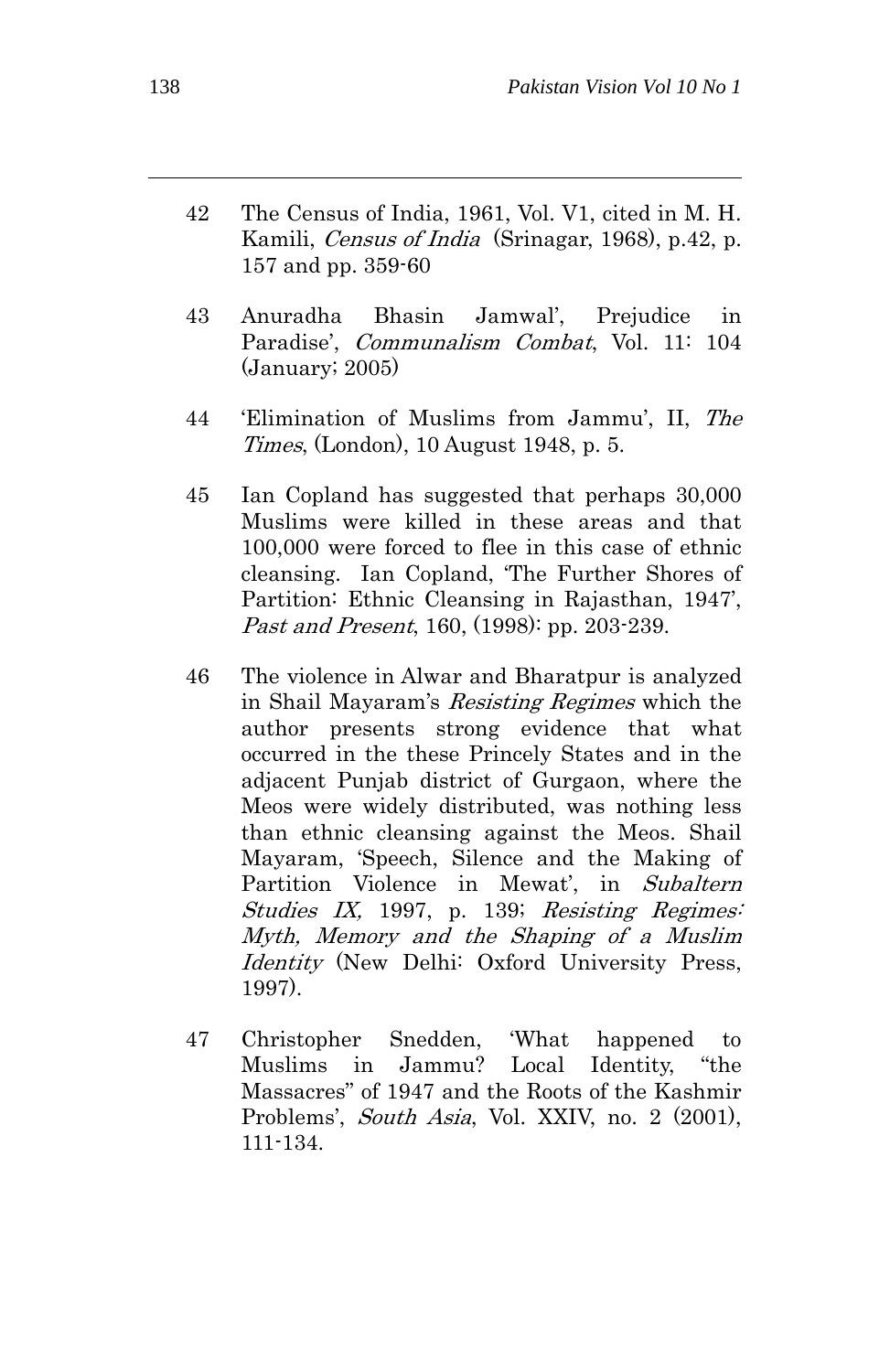- 42 The Census of India, 1961, Vol. V1, cited in M. H. Kamili, *Census of India* (Srinagar, 1968), p.42, p. 157 and pp. 359-60
- 43 Anuradha Bhasin Jamwal', Prejudice in Paradise', *Communalism Combat*, Vol. 11: 104 (January; 2005)
- 44 'Elimination of Muslims from Jammu', II, The Times, (London), 10 August 1948, p. 5.
- 45 Ian Copland has suggested that perhaps 30,000 Muslims were killed in these areas and that 100,000 were forced to flee in this case of ethnic cleansing. Ian Copland, 'The Further Shores of Partition: Ethnic Cleansing in Rajasthan, 1947', Past and Present, 160, (1998): pp. 203-239.
- 46 The violence in Alwar and Bharatpur is analyzed in Shail Mayaram's Resisting Regimes which the author presents strong evidence that what occurred in the these Princely States and in the adjacent Punjab district of Gurgaon, where the Meos were widely distributed, was nothing less than ethnic cleansing against the Meos. Shail Mayaram, 'Speech, Silence and the Making of Partition Violence in Mewat', in Subaltern Studies IX, 1997, p. 139; Resisting Regimes: Myth, Memory and the Shaping of a Muslim Identity (New Delhi: Oxford University Press, 1997).
- 47 Christopher Snedden, 'What happened to Muslims in Jammu? Local Identity, "the Massacres" of 1947 and the Roots of the Kashmir Problems', South Asia, Vol. XXIV, no. 2 (2001), 111-134.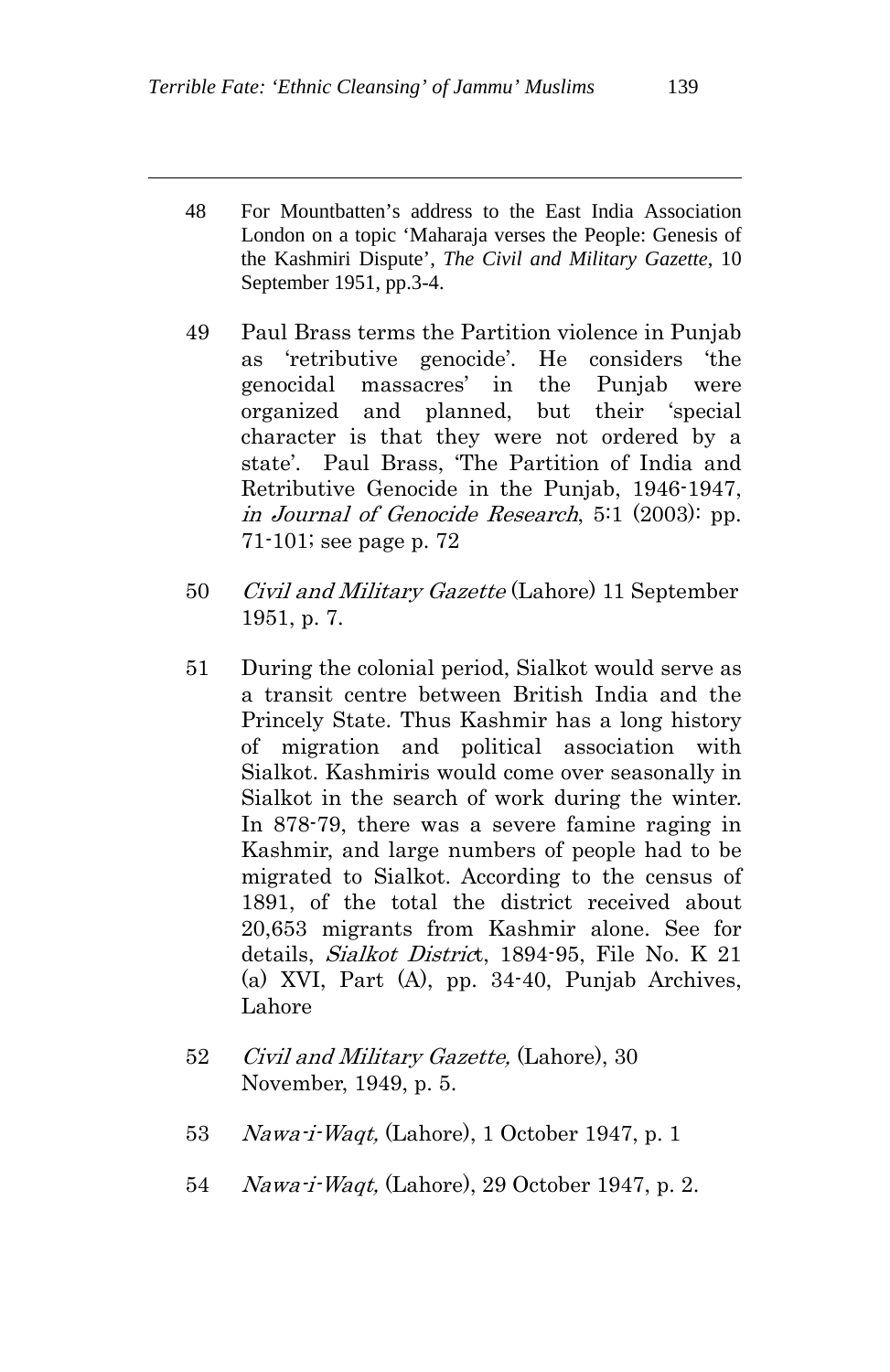- 48 For Mountbatten's address to the East India Association London on a topic 'Maharaja verses the People: Genesis of the Kashmiri Dispute', *The Civil and Military Gazette*, 10 September 1951, pp.3-4.
- 49 Paul Brass terms the Partition violence in Punjab as 'retributive genocide'. He considers 'the genocidal massacres' in the Punjab were organized and planned, but their 'special character is that they were not ordered by a state'. Paul Brass, 'The Partition of India and Retributive Genocide in the Punjab, 1946-1947, in Journal of Genocide Research, 5:1 (2003): pp. 71-101; see page p. 72
- 50 *Civil and Military Gazette* (Lahore) 11 September 1951, p. 7.
- 51 During the colonial period, Sialkot would serve as a transit centre between British India and the Princely State. Thus Kashmir has a long history of migration and political association with Sialkot. Kashmiris would come over seasonally in Sialkot in the search of work during the winter. In 878-79, there was a severe famine raging in Kashmir, and large numbers of people had to be migrated to Sialkot. According to the census of 1891, of the total the district received about 20,653 migrants from Kashmir alone. See for details, Sialkot District, 1894-95, File No. K 21 (a) XVI, Part (A), pp. 34-40, Punjab Archives, Lahore
- 52 *Civil and Military Gazette*, (Lahore), 30 November, 1949, p. 5.
- 53 Nawa-i-Waqt, (Lahore), 1 October 1947, p. 1
- 54 Nawa-i-Waqt, (Lahore), 29 October 1947, p. 2.